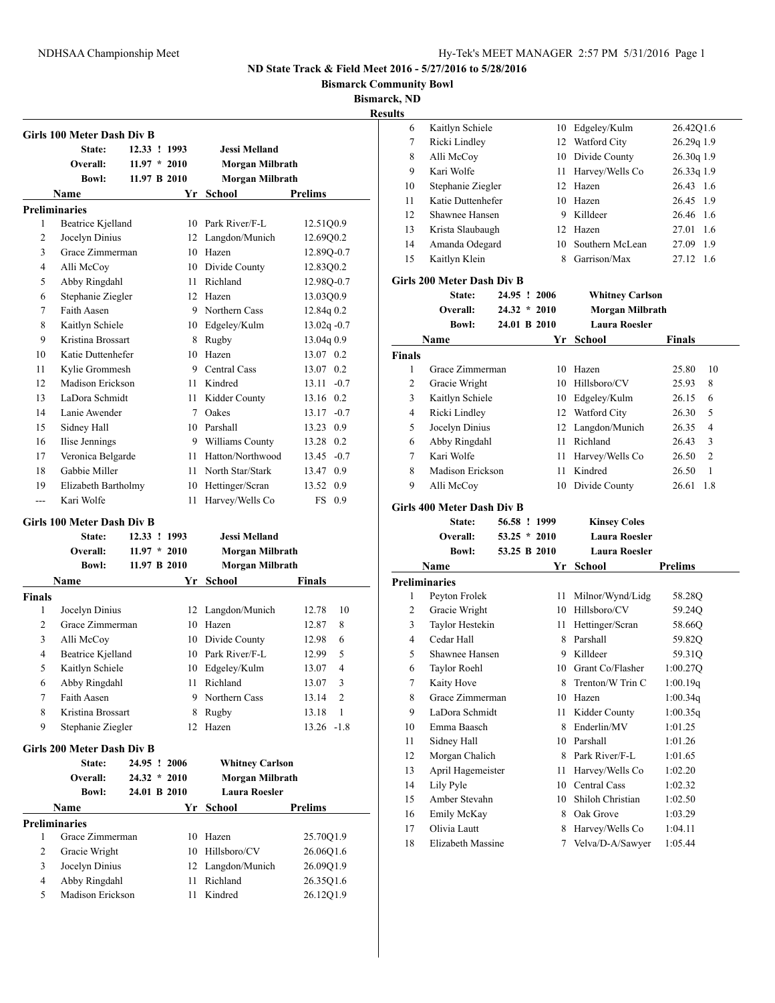**Bismarck Community Bowl**

**Bismarck, ND**

|               | Girls 100 Meter Dash Div B           |                |                        |                         |
|---------------|--------------------------------------|----------------|------------------------|-------------------------|
|               | State:                               | 12.33 ! 1993   | Jessi Melland          |                         |
|               | Overall:                             | $11.97 * 2010$ | <b>Morgan Milbrath</b> |                         |
|               | <b>Bowl:</b>                         | 11.97 B 2010   | Morgan Milbrath        |                         |
|               | Name                                 |                | Yr School              | Prelims                 |
|               | <b>Preliminaries</b>                 |                |                        |                         |
| 1             | Beatrice Kjelland                    |                | 10 Park River/F-L      | 12.51Q0.9               |
| 2             | Jocelyn Dinius                       | 12             | Langdon/Munich         | 12.69Q0.2               |
| 3             | Grace Zimmerman                      | 10             | Hazen                  | 12.89Q-0.7              |
| 4             | Alli McCoy                           | 10             | Divide County          | 12.83Q0.2               |
| 5             | Abby Ringdahl                        | 11             | Richland               | 12.98Q-0.7              |
| 6             | Stephanie Ziegler                    |                | 12 Hazen               | 13.03Q0.9               |
| 7             | Faith Aasen                          |                | 9 Northern Cass        | 12.84g 0.2              |
| 8             | Kaitlyn Schiele                      |                | 10 Edgeley/Kulm        | $13.02q - 0.7$          |
| 9             | Kristina Brossart                    | 8              | Rugby                  | 13.04q 0.9              |
| 10            | Katie Duttenhefer                    | 10             | Hazen                  | 13.07 0.2               |
| 11            | Kylie Grommesh                       | 9              | Central Cass           | 13.07 0.2               |
| 12            | Madison Erickson                     | 11             | Kindred                | $13.11 - 0.7$           |
| 13            | LaDora Schmidt                       | 11             | Kidder County          | 13.16 0.2               |
| 14            | Lanie Awender                        | $\tau$         | Oakes                  | $13.17 - 0.7$           |
| 15            | Sidney Hall                          | 10             | Parshall               | 13.23 0.9               |
| 16            | Ilise Jennings                       |                | 9 Williams County      | 13.28 0.2               |
| 17            | Veronica Belgarde                    | 11             | Hatton/Northwood       | $13.45 -0.7$            |
| 18            | Gabbie Miller                        | 11             | North Star/Stark       | 13.47 0.9               |
| 19            | Elizabeth Bartholmy                  | 10             | Hettinger/Scran        | 13.52 0.9               |
| ---           | Kari Wolfe                           | 11             | Harvey/Wells Co        | FS 0.9                  |
|               |                                      |                |                        |                         |
|               | Girls 100 Meter Dash Div B<br>State: | 12.33 ! 1993   | <b>Jessi Melland</b>   |                         |
|               | Overall:                             | $11.97 * 2010$ | Morgan Milbrath        |                         |
|               | <b>Bowl:</b>                         | 11.97 B 2010   | <b>Morgan Milbrath</b> |                         |
|               | Name                                 |                | Yr School              | Finals                  |
| <b>Finals</b> |                                      |                |                        |                         |
| 1             | Jocelyn Dinius                       | 12             | Langdon/Munich         | 12.78<br>10             |
| 2             | Grace Zimmerman                      | 10             | Hazen                  | 12.87<br>8              |
| 3             | Alli McCoy                           | 10             | Divide County          | 6<br>12.98              |
| 4             | Beatrice Kjelland                    |                | 10 Park River/F-L      | 5<br>12.99              |
| 5             | Kaitlyn Schiele                      |                | 10 Edgeley/Kulm        | $\overline{4}$<br>13.07 |
| 6             | Abby Ringdahl                        |                | 11 Richland            | 3<br>13.07              |
| 7             | Faith Aasen                          | 9              | Northern Cass          | $\overline{2}$<br>13.14 |
| 8             | Kristina Brossart                    | 8              | Rugby                  | $\mathbf{1}$<br>13.18   |
| 9             | Stephanie Ziegler                    | 12             | Hazen                  | $13.26 -1.8$            |
|               | <b>Girls 200 Meter Dash Div B</b>    |                |                        |                         |
|               | State:                               | 24.95 ! 2006   | <b>Whitney Carlson</b> |                         |
|               | Overall:                             | $24.32 * 2010$ | Morgan Milbrath        |                         |
|               | <b>Bowl:</b>                         | 24.01 B 2010   | <b>Laura Roesler</b>   |                         |
|               |                                      |                | Yr School              | <b>Prelims</b>          |
|               | Name<br><b>Preliminaries</b>         |                |                        |                         |
| 1             | Grace Zimmerman                      | 10             | Hazen                  | 25.70Q1.9               |
| 2             | Gracie Wright                        | 10             | Hillsboro/CV           | 26.06Q1.6               |
| 3             | Jocelyn Dinius                       | 12             | Langdon/Munich         | 26.09Q1.9               |
| 4             | Abby Ringdahl                        | 11             | Richland               | 26.35Q1.6               |
|               |                                      |                |                        |                         |
| 5             | Madison Erickson                     | 11             | Kindred                | 26.12Q1.9               |

| นเเร             |                                       |                                |    |                                             |                         |
|------------------|---------------------------------------|--------------------------------|----|---------------------------------------------|-------------------------|
| 6                | Kaitlyn Schiele                       |                                | 10 | Edgeley/Kulm                                | 26.42Q1.6               |
| 7                | Ricki Lindley                         |                                |    | 12 Watford City                             | 26.29q 1.9              |
| 8                | Alli McCov                            |                                |    | 10 Divide County                            | 26.30q 1.9              |
| 9                | Kari Wolfe                            |                                | 11 | Harvey/Wells Co                             | 26.33q 1.9              |
| 10               | Stephanie Ziegler                     |                                | 12 | Hazen                                       | 26.43 1.6               |
| 11               | Katie Duttenhefer                     |                                | 10 | Hazen                                       | 26.45<br>1.9            |
| 12               | Shawnee Hansen                        |                                | 9. | Killdeer                                    | 26.46 1.6               |
| 13               | Krista Slaubaugh                      |                                | 12 | Hazen                                       | 27.01<br>1.6            |
| 14               | Amanda Odegard                        |                                | 10 | Southern McLean                             | 27.09 1.9               |
| 15               | Kaitlyn Klein                         |                                | 8  | Garrison/Max                                | 27.12 1.6               |
|                  | Girls 200 Meter Dash Div B            |                                |    |                                             |                         |
|                  | State:                                | 24.95 ! 2006                   |    | <b>Whitney Carlson</b>                      |                         |
|                  | Overall:                              | $24.32 * 2010$                 |    | <b>Morgan Milbrath</b>                      |                         |
|                  | <b>Bowl:</b>                          | 24.01 B 2010                   |    | <b>Laura Roesler</b>                        |                         |
|                  | Name                                  |                                | Yr | <b>School</b>                               | <b>Finals</b>           |
| <b>Finals</b>    |                                       |                                |    |                                             |                         |
| 1                | Grace Zimmerman                       |                                | 10 | Hazen                                       | 25.80<br>10             |
| 2                | Gracie Wright                         |                                | 10 | Hillsboro/CV                                | 25.93<br>8              |
| 3                | Kaitlyn Schiele                       |                                |    | 10 Edgeley/Kulm                             | 26.15<br>6              |
| 4                | Ricki Lindley                         |                                |    | 12 Watford City                             | 26.30<br>5              |
| 5                | Jocelyn Dinius                        |                                | 12 | Langdon/Munich                              | 26.35<br>4              |
| 6                | Abby Ringdahl                         |                                | 11 | Richland                                    | 26.43<br>3              |
| 7                | Kari Wolfe                            |                                | 11 | Harvey/Wells Co                             | $\overline{2}$<br>26.50 |
| 8                | Madison Erickson                      |                                | 11 | Kindred                                     | 26.50<br>1              |
| 9                | Alli McCoy                            |                                | 10 | Divide County                               | 26.61<br>1.8            |
|                  |                                       |                                |    |                                             |                         |
|                  | Girls 400 Meter Dash Div B            |                                |    |                                             |                         |
|                  | State:                                | 56.58 ! 1999                   |    | <b>Kinsey Coles</b><br><b>Laura Roesler</b> |                         |
|                  | <b>Overall:</b><br><b>Bowl:</b>       | $53.25 * 2010$<br>53.25 B 2010 |    | <b>Laura Roesler</b>                        |                         |
|                  |                                       |                                |    |                                             |                         |
|                  | Name                                  |                                |    | Yr School                                   | <b>Prelims</b>          |
| 1                | <b>Preliminaries</b><br>Peyton Frolek |                                | 11 | Milnor/Wynd/Lidg                            |                         |
| 2                | Gracie Wright                         |                                | 10 | Hillsboro/CV                                | 58.28Q<br>59.24Q        |
| 3                | Taylor Hestekin                       |                                | 11 | Hettinger/Scran                             |                         |
| 4                | Cedar Hall                            |                                | 8  | Parshall                                    | 58.66Q                  |
| 5                | Shawnee Hansen                        |                                | 9  | Killdeer                                    | 59.82Q<br>59.31Q        |
| 6                | Taylor Roehl                          |                                | 10 | Grant Co/Flasher                            | 1:00.27Q                |
| $\boldsymbol{7}$ | Kaity Hove                            |                                | 8  | Trenton/W Trin C                            | 1:00.19q                |
| 8                | Grace Zimmerman                       |                                | 10 | Hazen                                       | 1:00.34q                |
| 9                | LaDora Schmidt                        |                                | 11 | Kidder County                               | 1:00.35q                |
| 10               | Emma Baasch                           |                                | 8  | Enderlin/MV                                 | 1:01.25                 |
| 11               | Sidney Hall                           |                                | 10 | Parshall                                    | 1:01.26                 |
|                  | Morgan Chalich                        |                                | 8  | Park River/F-L                              |                         |
| 12               | April Hagemeister                     |                                |    |                                             | 1:01.65                 |
| 13               |                                       |                                | 11 | Harvey/Wells Co                             | 1:02.20                 |
| 14<br>15         |                                       |                                |    |                                             |                         |
|                  | Lily Pyle                             |                                | 10 | Central Cass                                | 1:02.32                 |
|                  | Amber Stevahn                         |                                | 10 | Shiloh Christian                            | 1:02.50                 |
| 16               | Emily McKay                           |                                | 8  | Oak Grove                                   | 1:03.29                 |
| 17               | Olivia Lautt                          |                                | 8  | Harvey/Wells Co                             | 1:04.11                 |
| 18               | Elizabeth Massine                     |                                | 7  | Velva/D-A/Sawyer                            | 1:05.44                 |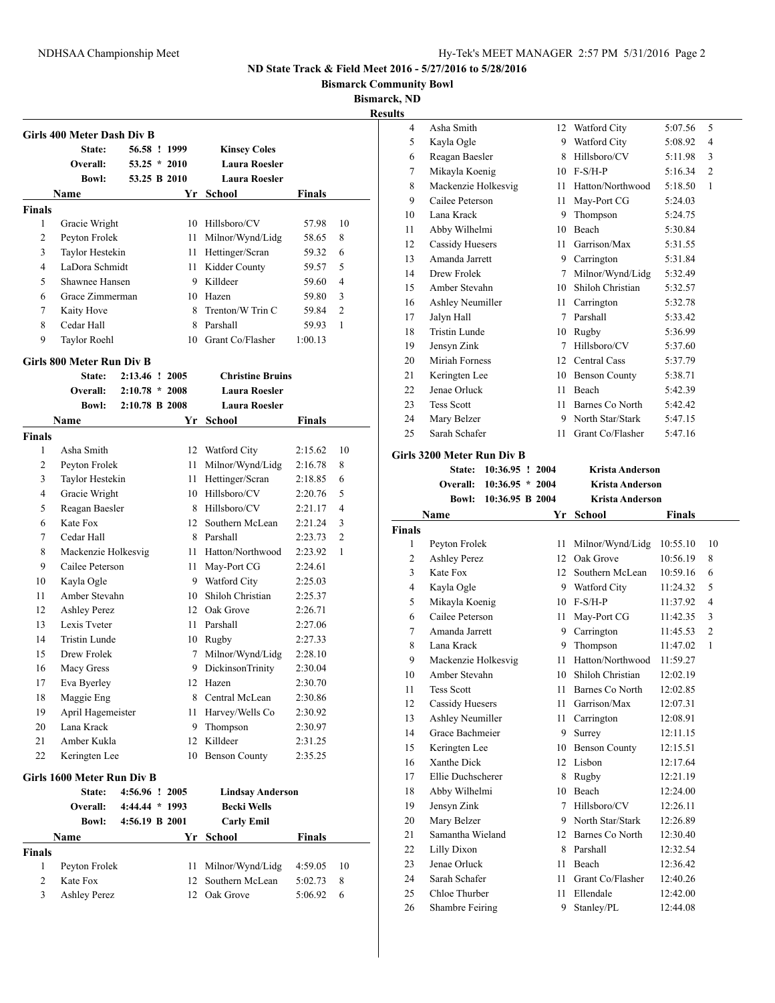**Bismarck Community Bowl**

**Bismarck, ND**

|               | Girls 400 Meter Dash Div B<br>State:<br>Overall:<br><b>Bowl:</b> | 56.58 ! 1999<br>$53.25 * 2010$<br>53.25 B 2010 |      | <b>Kinsey Coles</b><br><b>Laura Roesler</b><br><b>Laura Roesler</b> |               |                |
|---------------|------------------------------------------------------------------|------------------------------------------------|------|---------------------------------------------------------------------|---------------|----------------|
|               | Name                                                             |                                                | Yr   | <b>School</b>                                                       | <b>Finals</b> |                |
| <b>Finals</b> |                                                                  |                                                |      |                                                                     |               |                |
| 1             | Gracie Wright                                                    |                                                |      | 10 Hillsboro/CV                                                     | 57.98         | 10             |
| 2             | Peyton Frolek                                                    |                                                | 11 - | Milnor/Wynd/Lidg                                                    | 58.65         | 8              |
| 3             | Taylor Hestekin                                                  |                                                |      | 11 Hettinger/Scran                                                  | 59.32         | 6              |
| 4             | LaDora Schmidt                                                   |                                                |      | 11 Kidder County                                                    | 59.57         | 5              |
| 5             | Shawnee Hansen                                                   |                                                |      | 9 Killdeer                                                          | 59.60         | $\overline{4}$ |
| 6             | Grace Zimmerman                                                  |                                                |      | 10 Hazen                                                            | 59.80         | 3              |
| 7             | Kaity Hove                                                       |                                                |      | 8 Trenton/W Trin C                                                  | 59.84         | $\overline{2}$ |
| 8             | Cedar Hall                                                       |                                                |      | 8 Parshall                                                          | 59.93         | 1              |
| 9             | <b>Taylor Roehl</b>                                              |                                                | 10   | Grant Co/Flasher                                                    | 1:00.13       |                |
|               | Girls 800 Meter Run Div B                                        |                                                |      |                                                                     |               |                |
|               | State:                                                           | 2:13.46 ! 2005                                 |      | <b>Christine Bruins</b>                                             |               |                |
|               | Overall:                                                         | $2:10.78 * 2008$                               |      | <b>Laura Roesler</b>                                                |               |                |
|               | <b>Bowl:</b>                                                     | 2:10.78 B 2008                                 |      | <b>Laura Roesler</b>                                                |               |                |
|               | Name                                                             |                                                | Yr   | <b>School</b>                                                       | Finals        |                |
| <b>Finals</b> |                                                                  |                                                |      |                                                                     |               |                |
| 1             | Asha Smith                                                       |                                                |      | 12 Watford City                                                     | 2:15.62       | 10             |
| 2             | Peyton Frolek                                                    |                                                | 11   | Milnor/Wynd/Lidg                                                    | 2:16.78       | 8              |
| 3             | Taylor Hestekin                                                  |                                                | 11   | Hettinger/Scran                                                     | 2:18.85       | 6              |
| 4             | Gracie Wright                                                    |                                                |      | 10 Hillsboro/CV                                                     | 2:20.76       | 5              |
| 5             | Reagan Baesler                                                   |                                                |      | 8 Hillsboro/CV                                                      | 2:21.17       | $\overline{4}$ |
| 6             | Kate Fox                                                         |                                                |      | 12 Southern McLean                                                  | 2:21.24       | 3              |
| 7             | Cedar Hall                                                       |                                                |      | 8 Parshall                                                          | 2:23.73       | $\overline{c}$ |
| 8             | Mackenzie Holkesvig                                              |                                                |      | 11 Hatton/Northwood                                                 | 2:23.92       | 1              |
| 9             | Cailee Peterson                                                  |                                                |      | 11 May-Port CG                                                      | 2:24.61       |                |
| 10            | Kayla Ogle                                                       |                                                |      | 9 Watford City                                                      | 2:25.03       |                |
| 11            | Amber Stevahn                                                    |                                                |      | 10 Shiloh Christian                                                 | 2:25.37       |                |
| 12            | <b>Ashley Perez</b>                                              |                                                |      | 12 Oak Grove                                                        | 2:26.71       |                |
| 13            | Lexis Tyeter                                                     |                                                |      | 11 Parshall                                                         | 2:27.06       |                |
| 14            | Tristin Lunde                                                    |                                                |      | 10 Rugby                                                            | 2:27.33       |                |
| 15            | Drew Frolek                                                      |                                                | 7    | Milnor/Wynd/Lidg                                                    | 2:28.10       |                |
| 16            | Macy Gress                                                       |                                                | 9.   | <b>DickinsonTrinity</b>                                             | 2:30.04       |                |
| 17            | Eva Byerley                                                      |                                                | 12   | Hazen                                                               | 2:30.70       |                |
| 18            | Maggie Eng                                                       |                                                | 8    | Central McLean                                                      | 2:30.86       |                |
| 19            | April Hagemeister                                                |                                                | 11   | Harvey/Wells Co                                                     | 2:30.92       |                |
| 20            | Lana Krack                                                       |                                                | 9.   | Thompson                                                            | 2:30.97       |                |
| 21            | Amber Kukla                                                      |                                                | 12   | Killdeer                                                            | 2:31.25       |                |
| 22            | Keringten Lee                                                    |                                                | 10   | <b>Benson County</b>                                                | 2:35.25       |                |
|               | Girls 1600 Meter Run Div B                                       |                                                |      |                                                                     |               |                |
|               | State:                                                           | 4:56.96 ! 2005                                 |      | <b>Lindsay Anderson</b>                                             |               |                |
|               | Overall:                                                         | 4:44.44 * 1993                                 |      | <b>Becki Wells</b>                                                  |               |                |
|               | <b>Bowl:</b>                                                     | 4:56.19 B 2001                                 |      | <b>Carly Emil</b>                                                   |               |                |
|               | Name                                                             |                                                |      | Yr School                                                           | <b>Finals</b> |                |
| <b>Finals</b> |                                                                  |                                                |      |                                                                     |               |                |
| 1             | Peyton Frolek                                                    |                                                | 11   | Milnor/Wynd/Lidg                                                    | 4:59.05       | 10             |
| 2             | Kate Fox                                                         |                                                | 12   | Southern McLean                                                     | 5:02.73       | 8              |
|               | <b>Ashley Perez</b>                                              |                                                |      | Oak Grove                                                           |               |                |

| <b>kesults</b> |                                      |                 |                              |               |                |
|----------------|--------------------------------------|-----------------|------------------------------|---------------|----------------|
| 4              | Asha Smith                           |                 | 12 Watford City              | 5:07.56       | 5              |
| 5              | Kayla Ogle                           | 9               | Watford City                 | 5:08.92       | 4              |
| 6              | Reagan Baesler                       | 8               | Hillsboro/CV                 | 5:11.98       | 3              |
| 7              | Mikayla Koenig                       |                 | 10 F-S/H-P                   | 5:16.34       | 2              |
| 8              | Mackenzie Holkesvig                  | 11              | Hatton/Northwood             | 5:18.50       | 1              |
| 9              | Cailee Peterson                      | 11              | May-Port CG                  | 5:24.03       |                |
| 10             | Lana Krack                           | 9               | Thompson                     | 5:24.75       |                |
| 11             | Abby Wilhelmi                        | 10              | Beach                        | 5:30.84       |                |
| 12             | <b>Cassidy Huesers</b>               | 11              | Garrison/Max                 | 5:31.55       |                |
| 13             | Amanda Jarrett                       |                 | 9 Carrington                 | 5:31.84       |                |
| 14             | Drew Frolek                          |                 | 7 Milnor/Wynd/Lidg           | 5:32.49       |                |
| 15             | Amber Stevahn                        | 10              | Shiloh Christian             | 5:32.57       |                |
| 16             | Ashley Neumiller                     | 11              | Carrington                   | 5:32.78       |                |
| 17             | Jalyn Hall                           | 7               | Parshall                     | 5:33.42       |                |
| 18             | <b>Tristin Lunde</b>                 | 10              | Rugby                        | 5:36.99       |                |
| 19             | Jensyn Zink                          | $7\overline{ }$ | Hillsboro/CV                 | 5:37.60       |                |
| 20             | Miriah Forness                       |                 | 12 Central Cass              | 5:37.79       |                |
| 21             | Keringten Lee                        | 10              | <b>Benson County</b>         | 5:38.71       |                |
| 22             | Jenae Orluck                         | 11              | Beach                        | 5:42.39       |                |
| 23             | <b>Tess Scott</b>                    | 11              | Barnes Co North              | 5:42.42       |                |
| 24             | Mary Belzer                          | 9               | North Star/Stark             | 5:47.15       |                |
| 25             | Sarah Schafer                        | 11              | Grant Co/Flasher             | 5:47.16       |                |
|                | Girls 3200 Meter Run Div B           |                 |                              |               |                |
|                | State:<br>$10:36.95$ ! 2004          |                 | Krista Anderson              |               |                |
|                | $10:36.95 * 2004$<br><b>Overall:</b> |                 | <b>Krista Anderson</b>       |               |                |
|                | 10:36.95 B 2004<br><b>Bowl:</b>      |                 | <b>Krista Anderson</b>       |               |                |
|                |                                      |                 |                              |               |                |
|                |                                      |                 |                              |               |                |
|                | Name                                 | Yr              | <b>School</b>                | <b>Finals</b> |                |
| Finals<br>1    | Peyton Frolek                        | 11              | Milnor/Wynd/Lidg             | 10:55.10      | 10             |
| 2              |                                      | 12              | Oak Grove                    | 10:56.19      | 8              |
| 3              | <b>Ashley Perez</b><br>Kate Fox      | 12              | Southern McLean              | 10:59.16      | 6              |
| 4              |                                      |                 |                              | 11:24.32      | 5              |
| 5              | Kayla Ogle<br>Mikayla Koenig         |                 | 9 Watford City<br>10 F-S/H-P | 11:37.92      | 4              |
| 6              | Cailee Peterson                      | 11              | May-Port CG                  | 11:42.35      | 3              |
| 7              | Amanda Jarrett                       | 9               | Carrington                   | 11:45.53      | $\overline{c}$ |
| 8              | Lana Krack                           | 9               | Thompson                     | 11:47.02      | 1              |
| 9              | Mackenzie Holkesvig                  | 11              | Hatton/Northwood             | 11:59.27      |                |
| $10\,$         | Amber Stevahn                        |                 | 10 Shiloh Christian          | 12:02.19      |                |
| 11             | <b>Tess Scott</b>                    | 11              | Barnes Co North              | 12:02.85      |                |
| 12             | Cassidy Huesers                      | 11              | Garrison/Max                 | 12:07.31      |                |
| 13             | Ashley Neumiller                     | 11              | Carrington                   | 12:08.91      |                |
| 14             | Grace Bachmeier                      | 9               | Surrey                       | 12:11.15      |                |
| 15             | Keringten Lee                        | 10              | <b>Benson County</b>         | 12:15.51      |                |
| 16             | Xanthe Dick                          | 12              | Lisbon                       | 12:17.64      |                |
| 17             | Ellie Duchscherer                    | 8               | Rugby                        | 12:21.19      |                |
| 18             | Abby Wilhelmi                        | 10              | Beach                        | 12:24.00      |                |
| 19             | Jensyn Zink                          | 7               | Hillsboro/CV                 | 12:26.11      |                |
| 20             | Mary Belzer                          | 9               | North Star/Stark             | 12:26.89      |                |
| 21             | Samantha Wieland                     |                 | 12 Barnes Co North           | 12:30.40      |                |
| 22             | Lilly Dixon                          | 8               | Parshall                     | 12:32.54      |                |
| 23             | Jenae Orluck                         | 11              | Beach                        | 12:36.42      |                |
| 24             | Sarah Schafer                        | 11              | Grant Co/Flasher             | 12:40.26      |                |
| 25             | Chloe Thurber                        | 11              | Ellendale                    | 12:42.00      |                |
| 26             | Shambre Feiring                      | 9               | Stanley/PL                   | 12:44.08      |                |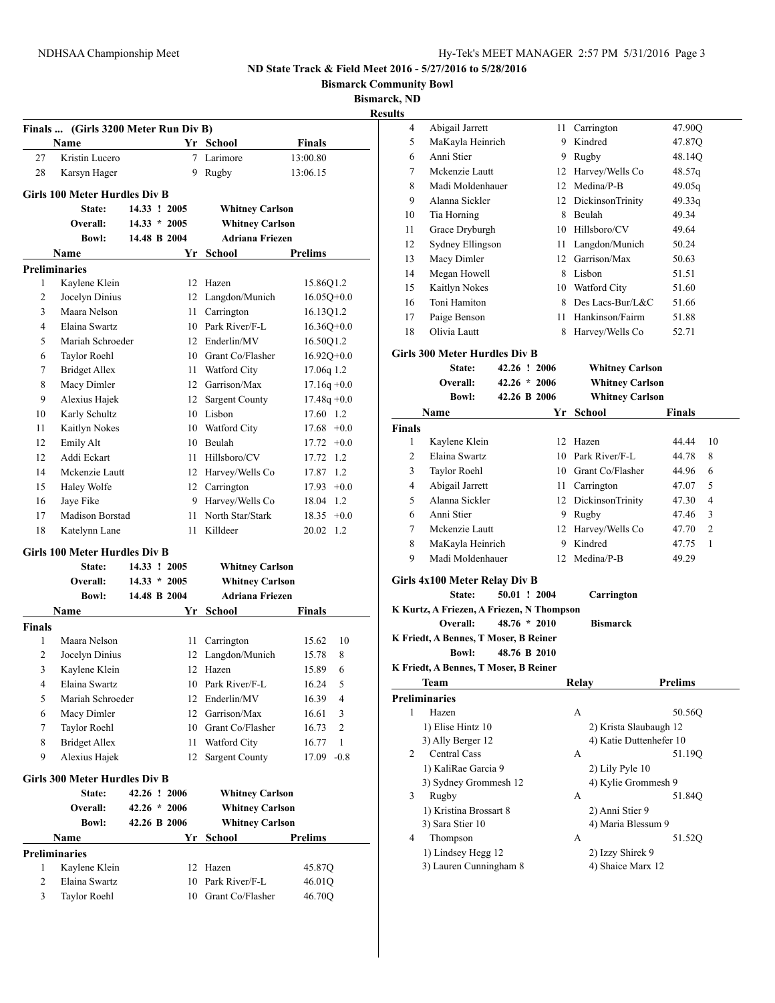**Bismarck Community Bowl**

**Bismarck, ND**

|               | Finals  (Girls 3200 Meter Run Div B) |                |    |                                                  |                            |
|---------------|--------------------------------------|----------------|----|--------------------------------------------------|----------------------------|
|               | Name                                 |                |    | Yr School                                        | Finals                     |
| 27            | Kristin Lucero                       |                |    | 7 Larimore                                       | 13:00.80                   |
| 28            | Karsyn Hager                         |                |    | 9 Rugby                                          | 13:06.15                   |
|               | <b>Girls 100 Meter Hurdles Div B</b> |                |    |                                                  |                            |
|               | State:                               | 14.33 ! 2005   |    | <b>Whitney Carlson</b>                           |                            |
|               | Overall:                             | $14.33 * 2005$ |    | <b>Whitney Carlson</b>                           |                            |
|               | <b>Bowl:</b>                         | 14.48 B 2004   |    | <b>Adriana Friezen</b>                           |                            |
|               | Name                                 |                |    | Yr School                                        | <b>Prelims</b>             |
|               | <b>Preliminaries</b>                 |                |    |                                                  |                            |
| 1             | Kaylene Klein                        |                | 12 | Hazen                                            | 15.86Q1.2                  |
| 2             | Jocelyn Dinius                       |                |    | 12 Langdon/Munich                                | $16.05Q+0.0$               |
| 3             | Maara Nelson                         |                | 11 | Carrington                                       | 16.13Q1.2                  |
| 4             | Elaina Swartz                        |                |    | 10 Park River/F-L                                | $16.36Q + 0.0$             |
| 5             | Mariah Schroeder                     |                |    | 12 Enderlin/MV                                   | 16.50Q1.2                  |
| 6             | Taylor Roehl                         |                |    | 10 Grant Co/Flasher                              | $16.92Q+0.0$               |
| 7             | <b>Bridget Allex</b>                 |                | 11 | <b>Watford City</b>                              | 17.06g 1.2                 |
| 8             | Macy Dimler                          |                |    | 12 Garrison/Max                                  | $17.16q +0.0$              |
| 9             | Alexius Hajek                        |                | 12 | <b>Sargent County</b>                            | $17.48q + 0.0$             |
| 10            | Karly Schultz                        |                |    | 10 Lisbon                                        | 17.60 1.2                  |
| 11            | Kaitlyn Nokes                        |                | 10 | Watford City                                     | $17.68 + 0.0$              |
| 12            | Emily Alt                            |                | 10 | Beulah                                           | 17.72<br>$+0.0$            |
| 12            | Addi Eckart                          |                | 11 | Hillsboro/CV                                     | 17.72<br>1.2               |
| 14            | Mckenzie Lautt                       |                |    | 12 Harvey/Wells Co                               | 17.87 1.2                  |
| 15            | Haley Wolfe                          |                |    | 12 Carrington                                    | $17.93 + 0.0$              |
| 16            | Jaye Fike                            |                |    | 9 Harvey/Wells Co                                | 18.04 1.2                  |
| 17            | Madison Borstad                      |                | 11 | North Star/Stark                                 | $18.35 +0.0$               |
| 18            | Katelynn Lane                        |                | 11 | Killdeer                                         | 1.2<br>20.02               |
|               |                                      |                |    |                                                  |                            |
|               | Girls 100 Meter Hurdles Div B        |                |    |                                                  |                            |
|               | State:                               | 14.33 ! 2005   |    | <b>Whitney Carlson</b>                           |                            |
|               | Overall:                             | $14.33 * 2005$ |    | <b>Whitney Carlson</b><br><b>Adriana Friezen</b> |                            |
|               | <b>Bowl:</b>                         | 14.48 B 2004   |    |                                                  |                            |
|               | Name                                 |                |    | Yr School                                        | Finals                     |
| <b>Finals</b> |                                      |                |    |                                                  |                            |
| 1             | Maara Nelson                         |                | 11 | Carrington                                       | 10<br>15.62                |
| 2             | Jocelyn Dinius                       |                | 12 | Langdon/Munich                                   | 15.78<br>8                 |
| 3             | Kaylene Klein                        |                | 12 | Hazen                                            | 15.89<br>6                 |
| 4             | Elaina Swartz                        |                |    | 10 Park River/F-L                                | 5<br>16.24                 |
| 5             | Mariah Schroeder                     |                | 12 | Enderlin/MV                                      | 16.39<br>4                 |
| 6             | Macy Dimler                          |                | 12 | Garrison/Max<br>10 Grant Co/Flasher              | 3<br>16.61                 |
| 7             | Taylor Roehl<br><b>Bridget Allex</b> |                |    |                                                  | 2<br>16.73<br>$\mathbf{1}$ |
| 8<br>9        | Alexius Hajek                        |                | 11 | Watford City                                     | 16.77<br>$-0.8$<br>17.09   |
|               |                                      |                | 12 | <b>Sargent County</b>                            |                            |
|               | Girls 300 Meter Hurdles Div B        |                |    |                                                  |                            |
|               | State:                               | 42.26 ! 2006   |    | <b>Whitney Carlson</b>                           |                            |
|               | Overall:                             | $42.26 * 2006$ |    | <b>Whitney Carlson</b>                           |                            |
|               | <b>Bowl:</b>                         | 42.26 B 2006   |    | <b>Whitney Carlson</b>                           |                            |
|               | Name                                 |                | Yr | <b>School</b>                                    | <b>Prelims</b>             |
|               | <b>Preliminaries</b>                 |                |    |                                                  |                            |
| 1             | Kaylene Klein                        |                | 12 | Hazen                                            | 45.87Q                     |
| 2             | Elaina Swartz                        |                | 10 | Park River/F-L                                   | 46.01Q                     |
| 3             | Taylor Roehl                         |                | 10 | Grant Co/Flasher                                 | 46.70Q                     |

| 4             | Abigail Jarrett                           | 11             | Carrington              | 47.90Q                  |
|---------------|-------------------------------------------|----------------|-------------------------|-------------------------|
| 5             | MaKayla Heinrich                          | 9              | Kindred                 | 47.87Q                  |
| 6             | Anni Stier                                | 9              | Rugby                   | 48.14Q                  |
| 7             | Mckenzie Lautt                            | 12             | Harvey/Wells Co         | 48.57q                  |
| 8             | Madi Moldenhauer                          | 12             | Medina/P-B              | 49.05q                  |
| 9             | Alanna Sickler                            |                | 12 DickinsonTrinity     | 49.33g                  |
| 10            | Tia Horning                               | 8              | Beulah                  | 49.34                   |
| 11            | Grace Dryburgh                            |                | 10 Hillsboro/CV         | 49.64                   |
| 12            | Sydney Ellingson                          | 11 -           | Langdon/Munich          | 50.24                   |
| 13            | Macy Dimler                               |                | 12 Garrison/Max         | 50.63                   |
| 14            | Megan Howell                              |                | 8 Lisbon                | 51.51                   |
| 15            | Kaitlyn Nokes                             |                | 10 Watford City         | 51.60                   |
| 16            | Toni Hamiton                              | 8              | Des Lacs-Bur/L&C        | 51.66                   |
| 17            | Paige Benson                              | 11             | Hankinson/Fairm         | 51.88                   |
| 18            | Olivia Lautt                              | 8              |                         | 52.71                   |
|               |                                           |                | Harvey/Wells Co         |                         |
|               | <b>Girls 300 Meter Hurdles Div B</b>      |                |                         |                         |
|               | State:                                    | 42.26 ! 2006   | <b>Whitney Carlson</b>  |                         |
|               | Overall:                                  | $42.26 * 2006$ | <b>Whitney Carlson</b>  |                         |
|               | <b>Bowl:</b>                              | 42.26 B 2006   | <b>Whitney Carlson</b>  |                         |
|               | Name                                      |                | Yr School               | <b>Finals</b>           |
| <b>Finals</b> |                                           |                |                         |                         |
| 1             | Kaylene Klein                             |                | 12 Hazen                | 10<br>44.44             |
| 2             | Elaina Swartz                             |                | 10 Park River/F-L       | 44.78<br>8              |
| 3             | Taylor Roehl                              |                | 10 Grant Co/Flasher     | 44.96<br>6              |
| 4             | Abigail Jarrett                           |                | 11 Carrington           | 5<br>47.07              |
| 5             | Alanna Sickler                            | 12             | DickinsonTrinity        | 47.30<br>4              |
| 6             | Anni Stier                                | 9              | Rugby                   | 3<br>47.46              |
| 7             | Mckenzie Lautt                            | 12             | Harvey/Wells Co         | $\overline{c}$<br>47.70 |
| 8             | MaKayla Heinrich                          |                | 9 Kindred               | 47.75<br>1              |
| 9             | Madi Moldenhauer                          | 12             | Medina/P-B              | 49.29                   |
|               |                                           |                |                         |                         |
|               | Girls 4x100 Meter Relay Div B             |                |                         |                         |
|               | State:                                    | 50.01 ! 2004   | Carrington              |                         |
|               | K Kurtz, A Friezen, A Friezen, N Thompson |                |                         |                         |
|               | Overall:                                  | $48.76 * 2010$ | <b>Bismarck</b>         |                         |
|               | K Friedt, A Bennes, T Moser, B Reiner     |                |                         |                         |
|               | <b>Bowl:</b>                              | 48.76 B 2010   |                         |                         |
|               | K Friedt, A Bennes, T Moser, B Reiner     |                |                         |                         |
|               | Team                                      |                | Relay                   | <b>Prelims</b>          |
|               | <b>Preliminaries</b>                      |                |                         |                         |
| 1             | Hazen                                     |                | А                       | 50.56Q                  |
|               | 1) Elise Hintz 10                         |                | 2) Krista Slaubaugh 12  |                         |
|               | 3) Ally Berger 12                         |                | 4) Katie Duttenhefer 10 |                         |
| 2             | Central Cass                              |                | А                       | 51.19Q                  |
|               | 1) KaliRae Garcia 9                       |                | 2) Lily Pyle 10         |                         |
|               | 3) Sydney Grommesh 12                     |                | 4) Kylie Grommesh 9     |                         |
| 3             | Rugby                                     |                | А                       | 51.84Q                  |
|               | 1) Kristina Brossart 8                    |                | 2) Anni Stier 9         |                         |
|               | 3) Sara Stier 10                          |                | 4) Maria Blessum 9      |                         |
| 4             | Thompson                                  |                | A                       | 51.52Q                  |
|               | 1) Lindsey Hegg 12                        |                | 2) Izzy Shirek 9        |                         |
|               | 3) Lauren Cunningham 8                    |                | 4) Shaice Marx 12       |                         |
|               |                                           |                |                         |                         |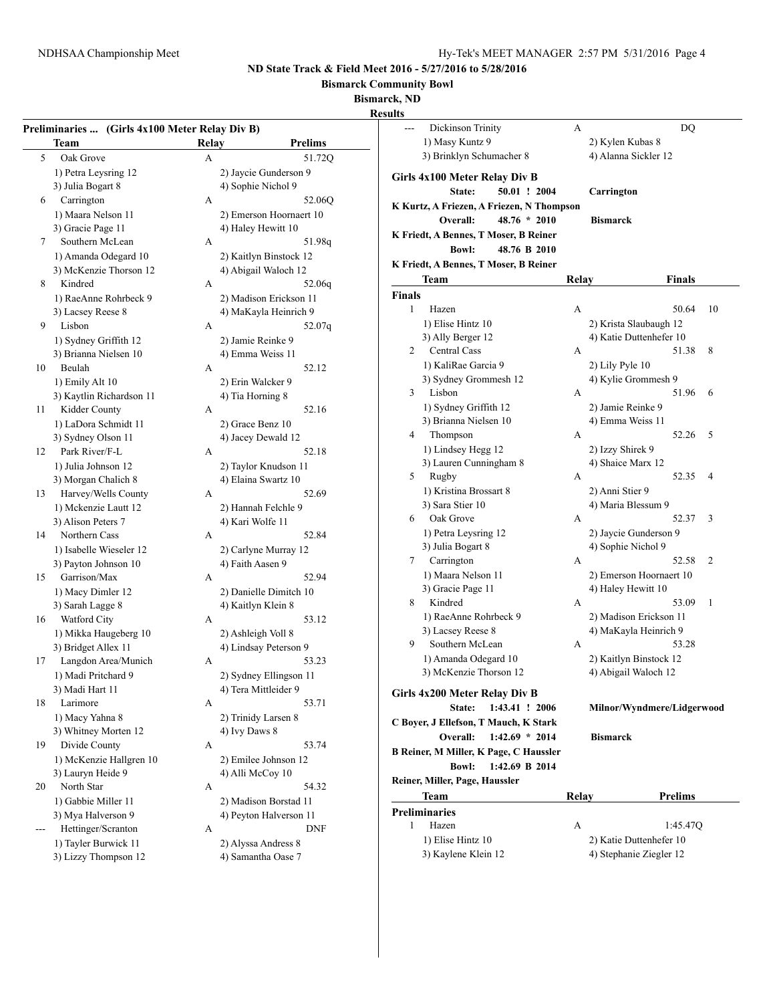**Bismarck Community Bowl**

**Bismarck, ND**

|    | Preliminaries  (Girls 4x100 Meter Relay Div B) |              |                         |
|----|------------------------------------------------|--------------|-------------------------|
|    | <b>Team</b>                                    | <b>Relay</b> | <b>Prelims</b>          |
| 5  | Oak Grove                                      | A            | 51.720                  |
|    | 1) Petra Leysring 12                           |              | 2) Jaycie Gunderson 9   |
|    | 3) Julia Bogart 8                              |              | 4) Sophie Nichol 9      |
| 6  | Carrington                                     | A            | 52.06Q                  |
|    | 1) Maara Nelson 11                             |              | 2) Emerson Hoornaert 10 |
|    | 3) Gracie Page 11                              |              | 4) Haley Hewitt 10      |
|    | Southern McLean                                | A            |                         |
| 7  |                                                |              | 51.98q                  |
|    | 1) Amanda Odegard 10                           |              | 2) Kaitlyn Binstock 12  |
|    | 3) McKenzie Thorson 12                         |              | 4) Abigail Waloch 12    |
| 8  | Kindred                                        | A            | 52.06q                  |
|    | 1) RaeAnne Rohrbeck 9                          |              | 2) Madison Erickson 11  |
|    | 3) Lacsey Reese 8                              |              | 4) MaKayla Heinrich 9   |
| 9  | Lisbon                                         | A            | 52.07q                  |
|    | 1) Sydney Griffith 12                          |              | 2) Jamie Reinke 9       |
|    | 3) Brianna Nielsen 10                          |              | 4) Emma Weiss 11        |
| 10 | Beulah                                         | A            | 52.12                   |
|    | 1) Emily Alt 10                                |              | 2) Erin Walcker 9       |
|    | 3) Kaytlin Richardson 11                       |              | 4) Tia Horning 8        |
| 11 | Kidder County                                  | A            | 52.16                   |
|    | 1) LaDora Schmidt 11                           |              | 2) Grace Benz 10        |
|    | 3) Sydney Olson 11                             |              | 4) Jacey Dewald 12      |
| 12 | Park River/F-L                                 | A            | 52.18                   |
|    | 1) Julia Johnson 12                            |              | 2) Taylor Knudson 11    |
|    | 3) Morgan Chalich 8                            |              | 4) Elaina Swartz 10     |
| 13 | Harvey/Wells County                            | A            | 52.69                   |
|    | 1) Mckenzie Lautt 12                           |              | 2) Hannah Felchle 9     |
|    | 3) Alison Peters 7                             |              | 4) Kari Wolfe 11        |
| 14 | Northern Cass                                  | A            | 52.84                   |
|    | 1) Isabelle Wieseler 12                        |              | 2) Carlyne Murray 12    |
|    | 3) Payton Johnson 10                           |              | 4) Faith Aasen 9        |
| 15 | Garrison/Max                                   | A            | 52.94                   |
|    | 1) Macy Dimler 12                              |              | 2) Danielle Dimitch 10  |
|    | 3) Sarah Lagge 8                               |              | 4) Kaitlyn Klein 8      |
| 16 | Watford City                                   | A            | 53.12                   |
|    | 1) Mikka Haugeberg 10                          |              | 2) Ashleigh Voll 8      |
|    | 3) Bridget Allex 11                            |              | 4) Lindsay Peterson 9   |
| 17 | Langdon Area/Munich                            | A            | 53.23                   |
|    | 1) Madi Pritchard 9                            |              | 2) Sydney Ellingson 11  |
|    | 3) Madi Hart 11                                |              | 4) Tera Mittleider 9    |
| 18 | Larimore                                       | A            | 53.71                   |
|    | 1) Macy Yahna 8                                |              | 2) Trinidy Larsen 8     |
|    | 3) Whitney Morten 12                           |              | 4) Ivy Daws 8           |
| 19 | Divide County                                  | A            | 53.74                   |
|    | 1) McKenzie Hallgren 10                        |              | 2) Emilee Johnson 12    |
|    | 3) Lauryn Heide 9                              |              | 4) Alli McCoy 10        |
|    | North Star                                     |              |                         |
| 20 |                                                | A            | 54.32                   |
|    | 1) Gabbie Miller 11                            |              | 2) Madison Borstad 11   |
|    | 3) Mya Halverson 9                             |              | 4) Peyton Halverson 11  |
|    | Hettinger/Scranton                             | A            | DNF                     |
|    | 1) Tayler Burwick 11                           |              | 2) Alyssa Andress 8     |
|    | 3) Lizzy Thompson 12                           |              | 4) Samantha Oase 7      |

| инь           |                                           |       |                            |    |
|---------------|-------------------------------------------|-------|----------------------------|----|
| ---           | Dickinson Trinity                         | А     | DO                         |    |
|               | 1) Masy Kuntz 9                           |       | 2) Kylen Kubas 8           |    |
|               | 3) Brinklyn Schumacher 8                  |       | 4) Alanna Sickler 12       |    |
|               |                                           |       |                            |    |
|               | Girls 4x100 Meter Relay Div B             |       |                            |    |
|               | 50.01 ! 2004<br>State:                    |       | Carrington                 |    |
|               | K Kurtz, A Friezen, A Friezen, N Thompson |       |                            |    |
|               | $48.76 * 2010$<br>Overall:                |       | <b>Bismarck</b>            |    |
|               | K Friedt, A Bennes, T Moser, B Reiner     |       |                            |    |
|               | <b>Bowl:</b><br>48.76 B 2010              |       |                            |    |
|               | K Friedt, A Bennes, T Moser, B Reiner     |       |                            |    |
|               | Team                                      | Relay | <b>Finals</b>              |    |
| <b>Finals</b> |                                           |       |                            |    |
| 1             |                                           |       |                            |    |
|               | Hazen                                     | A     | 50.64                      | 10 |
|               | 1) Elise Hintz 10                         |       | 2) Krista Slaubaugh 12     |    |
|               | 3) Ally Berger 12                         |       | 4) Katie Duttenhefer 10    |    |
| 2             | Central Cass                              | А     | 51.38                      | 8  |
|               | 1) KaliRae Garcia 9                       |       | 2) Lily Pyle 10            |    |
|               | 3) Sydney Grommesh 12                     |       | 4) Kylie Grommesh 9        |    |
| 3             | Lisbon                                    | А     | 51.96                      | 6  |
|               | 1) Sydney Griffith 12                     |       | 2) Jamie Reinke 9          |    |
|               | 3) Brianna Nielsen 10                     |       | 4) Emma Weiss 11           |    |
| 4             | Thompson                                  | А     | 52.26                      | 5  |
|               | 1) Lindsey Hegg 12                        |       | 2) Izzy Shirek 9           |    |
|               | 3) Lauren Cunningham 8                    |       | 4) Shaice Marx 12          |    |
| 5             | Rugby                                     | A     | 52.35                      | 4  |
|               | 1) Kristina Brossart 8                    |       | 2) Anni Stier 9            |    |
|               | 3) Sara Stier 10                          |       | 4) Maria Blessum 9         |    |
| 6             | Oak Grove                                 | А     | 52.37                      | 3  |
|               | 1) Petra Leysring 12                      |       | 2) Jaycie Gunderson 9      |    |
|               | 3) Julia Bogart 8                         |       | 4) Sophie Nichol 9         |    |
| 7             | Carrington                                | А     | 52.58                      | 2  |
|               |                                           |       |                            |    |
|               | 1) Maara Nelson 11                        |       | 2) Emerson Hoornaert 10    |    |
|               | 3) Gracie Page 11                         |       | 4) Haley Hewitt 10         |    |
| 8             | Kindred                                   | A     | 53.09                      | 1  |
|               | 1) RaeAnne Rohrbeck 9                     |       | 2) Madison Erickson 11     |    |
|               | 3) Lacsey Reese 8                         |       | 4) MaKayla Heinrich 9      |    |
| 9             | Southern McLean                           | А     | 53.28                      |    |
|               | 1) Amanda Odegard 10                      |       | 2) Kaitlyn Binstock 12     |    |
|               | 3) McKenzie Thorson 12                    |       | 4) Abigail Waloch 12       |    |
|               | Girls 4x200 Meter Relay Div B             |       |                            |    |
|               | State:<br>1:43.41 ! 2006                  |       | Milnor/Wyndmere/Lidgerwood |    |
|               |                                           |       |                            |    |
|               | C Bover, J Ellefson, T Mauch, K Stark     |       |                            |    |
|               | Overall: 1:42.69 * 2014                   |       | <b>Bismarck</b>            |    |
|               | B Reiner, M Miller, K Page, C Haussler    |       |                            |    |
|               | 1:42.69 B 2014<br>Bowl:                   |       |                            |    |
|               | Reiner, Miller, Page, Haussler            |       |                            |    |
|               | Team                                      | Relay | Prelims                    |    |
|               | <b>Preliminaries</b>                      |       |                            |    |
| 1             | Hazen                                     | A     | 1:45.47Q                   |    |
|               | 1) Elise Hintz 10                         |       | 2) Katie Duttenhefer 10    |    |
|               | 3) Kaylene Klein 12                       |       | 4) Stephanie Ziegler 12    |    |
|               |                                           |       |                            |    |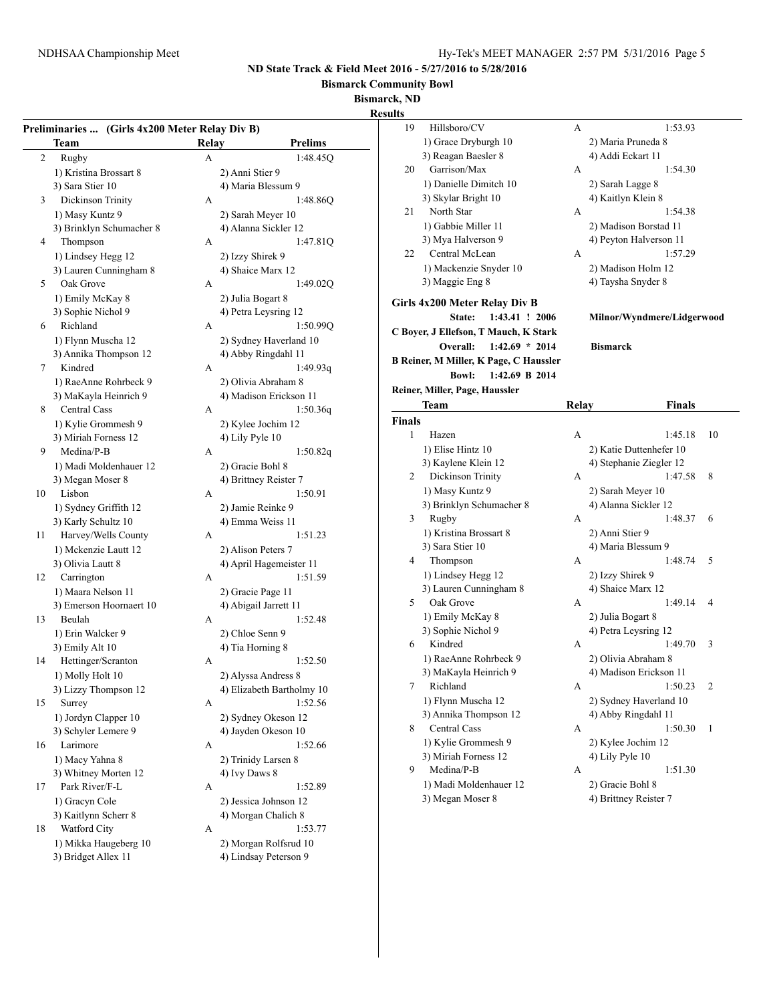**Bismarck Community Bowl**

**Bismarck, ND**

#### **Results**

|    | Preliminaries  (Girls 4x200 Meter Relay Div B) |       |                           | 19            | Hillsboro/C'                 |
|----|------------------------------------------------|-------|---------------------------|---------------|------------------------------|
|    | <b>Team</b>                                    | Relay | <b>Prelims</b>            |               | 1) Grace Dryb                |
| 2  | Rugby                                          | A     | 1:48.45Q                  |               | 3) Reagan Bao                |
|    | 1) Kristina Brossart 8                         |       | 2) Anni Stier 9           | 20            | Garrison/Ma                  |
|    | 3) Sara Stier 10                               |       | 4) Maria Blessum 9        |               | 1) Danielle D                |
| 3  | Dickinson Trinity                              | A     | 1:48.86Q                  |               | 3) Skylar Brig               |
|    | 1) Masy Kuntz 9                                |       | 2) Sarah Meyer 10         | 21            | North Star                   |
|    | 3) Brinklyn Schumacher 8                       |       | 4) Alanna Sickler 12      |               | 1) Gabbie Mil                |
| 4  | Thompson                                       | A     | 1:47.81Q                  |               | 3) Mya Halve                 |
|    | 1) Lindsey Hegg 12                             |       | 2) Izzy Shirek 9          | 22            | Central McI                  |
|    | 3) Lauren Cunningham 8                         |       | 4) Shaice Marx 12         |               | 1) Mackenzie                 |
| 5  | Oak Grove                                      | A     | 1:49.02Q                  |               | 3) Maggie Eng                |
|    | 1) Emily McKay 8                               |       | 2) Julia Bogart 8         |               | Girls 4x200 Meter            |
|    | 3) Sophie Nichol 9                             |       | 4) Petra Leysring 12      |               |                              |
| 6  | Richland                                       | A     | 1:50.99Q                  |               | State:                       |
|    | 1) Flynn Muscha 12                             |       | 2) Sydney Haverland 10    |               | C Boyer, J Ellefson,         |
|    | 3) Annika Thompson 12                          |       | 4) Abby Ringdahl 11       |               | Overall:                     |
| 7  | Kindred                                        | A     | 1:49.93q                  |               | <b>B Reiner, M Miller, 1</b> |
|    | 1) RaeAnne Rohrbeck 9                          |       | 2) Olivia Abraham 8       |               | <b>Bowl:</b>                 |
|    | 3) MaKayla Heinrich 9                          |       | 4) Madison Erickson 11    |               | Reiner, Miller, Page,        |
| 8  | Central Cass                                   | A     | 1:50.36q                  |               | Team                         |
|    | 1) Kylie Grommesh 9                            |       | 2) Kylee Jochim 12        | <b>Finals</b> |                              |
|    | 3) Miriah Forness 12                           |       | 4) Lily Pyle 10           | $\mathbf{1}$  | Hazen                        |
| 9  | Medina/P-B                                     | A     | 1:50.82q                  |               | 1) Elise Hintz               |
|    | 1) Madi Moldenhauer 12                         |       | 2) Gracie Bohl 8          |               | 3) Kaylene Kl                |
|    | 3) Megan Moser 8                               |       | 4) Brittney Reister 7     | 2             | Dickinson T                  |
| 10 | Lisbon                                         | A     | 1:50.91                   |               | 1) Masy Kunt                 |
|    | 1) Sydney Griffith 12                          |       | 2) Jamie Reinke 9         |               | 3) Brinklyn So               |
|    | 3) Karly Schultz 10                            |       | 4) Emma Weiss 11          | 3             | Rugby                        |
| 11 | Harvey/Wells County                            | A     | 1:51.23                   |               | 1) Kristina Br               |
|    | 1) Mckenzie Lautt 12                           |       | 2) Alison Peters 7        |               | 3) Sara Stier 1              |
|    | 3) Olivia Lautt 8                              |       | 4) April Hagemeister 11   | 4             | Thompson                     |
| 12 | Carrington                                     | A     | 1:51.59                   |               | 1) Lindsey He                |
|    | 1) Maara Nelson 11                             |       | 2) Gracie Page 11         |               | 3) Lauren Cur                |
|    | 3) Emerson Hoornaert 10                        |       | 4) Abigail Jarrett 11     | 5             | Oak Grove                    |
| 13 | Beulah                                         | A     | 1:52.48                   |               | 1) Emily Mck                 |
|    | 1) Erin Walcker 9                              |       | 2) Chloe Senn 9           |               | 3) Sophie Nic                |
|    | 3) Emily Alt 10                                |       | 4) Tia Horning 8          | 6             | Kindred                      |
| 14 | Hettinger/Scranton                             | A     | 1:52.50                   |               | 1) RaeAnne R                 |
|    | 1) Molly Holt 10                               |       | 2) Alyssa Andress 8       |               | 3) MaKayla H                 |
|    | 3) Lizzy Thompson 12                           |       | 4) Elizabeth Bartholmy 10 |               | 7 Richland                   |
| 15 | Surrey                                         | A     | 1:52.56                   |               | 1) Flynn Mus                 |
|    | 1) Jordyn Clapper 10                           |       | 2) Sydney Okeson 12       |               | 3) Annika Tho                |
|    | 3) Schyler Lemere 9                            |       | 4) Jayden Okeson 10       | 8             | Central Cass                 |
| 16 | Larimore                                       | A     | 1:52.66                   |               | 1) Kylie Gron                |
|    | 1) Macy Yahna 8                                |       | 2) Trinidy Larsen 8       |               | 3) Miriah Forr               |
|    | 3) Whitney Morten 12                           |       | 4) Ivy Daws 8             | 9             | Medina/P-B                   |
| 17 | Park River/F-L                                 | A     | 1:52.89                   |               | 1) Madi Mold                 |
|    | 1) Gracyn Cole                                 |       | 2) Jessica Johnson 12     |               | 3) Megan Mo:                 |
|    | 3) Kaitlynn Scherr 8                           |       | 4) Morgan Chalich 8       |               |                              |
| 18 | Watford City                                   | A     | 1:53.77                   |               |                              |
|    | 1) Mikka Haugeberg 10                          |       | 2) Morgan Rolfsrud 10     |               |                              |
|    | 3) Bridget Allex 11                            |       | 4) Lindsay Peterson 9     |               |                              |
|    |                                                |       |                           |               |                              |

19 Hillsboro/CV A 1:53.93 burgh 10 2) Maria Pruneda 8 esler 8 4) Addi Eckart 11 20 Garrison/Max A 1:54.30 1) Dimitch 10 2) Sarah Lagge 8 and 4) Kaitlyn Klein 8 21 North Star **A** 1:54.38 1) Gabbie Miller 11 2) Madison Borstad 11 erson 9 4) Peyton Halverson 11  $2$ ean A  $1:57.29$ Snyder 10 2) Madison Holm 12 g 8 4) Taysha Snyder 8 **Relay Div B State: 1:43.41 ! 2006 Milnor/Wyndmere/Lidgerwood T Mauch, K Stark Overall: 1:42.69 \* 2014 Bismarck K Page, C Haussler Bowl: 1:42.69 B 2014 Reiner, Miller, Page, Haussler Team Relay Finals** A 1:45.18 10 10 2) Katie Duttenhefer 10 12 (a) Stephanie Ziegler 12  $2 \text{ Trinity}$  A 1:47.58 8  $129$  2) Sarah Meyer 10 3) Brinklyn Schumacher 8 4) Alanna Sickler 12 A 1:48.37 6 1) Transactus Anni Stier 9 3) Maria Blessum 9 A 1:48.74 5 egg 12 2) Izzy Shirek 9 a and  $\frac{3}{4}$  Shaice Marx 12 A 1:49.14 4 1) Emily McKay 8 2) Julia Bogart 8 2) Petra Leysring 12 A 1:49.70 3 2) Olivia Abraham 8 3) Madison Erickson 11 A 1:50.23 2  $12$  2) Sydney Haverland 10 3) Abby Ringdahl 11  $A$  1:50.30 1 nmesh 9 2) Kylee Jochim 12 mess 12 4) Lily Pyle 10 9 Medina/P-B A 1:51.30 1) denhauer 12 2) Gracie Bohl 8 ser 8 4) Brittney Reister 7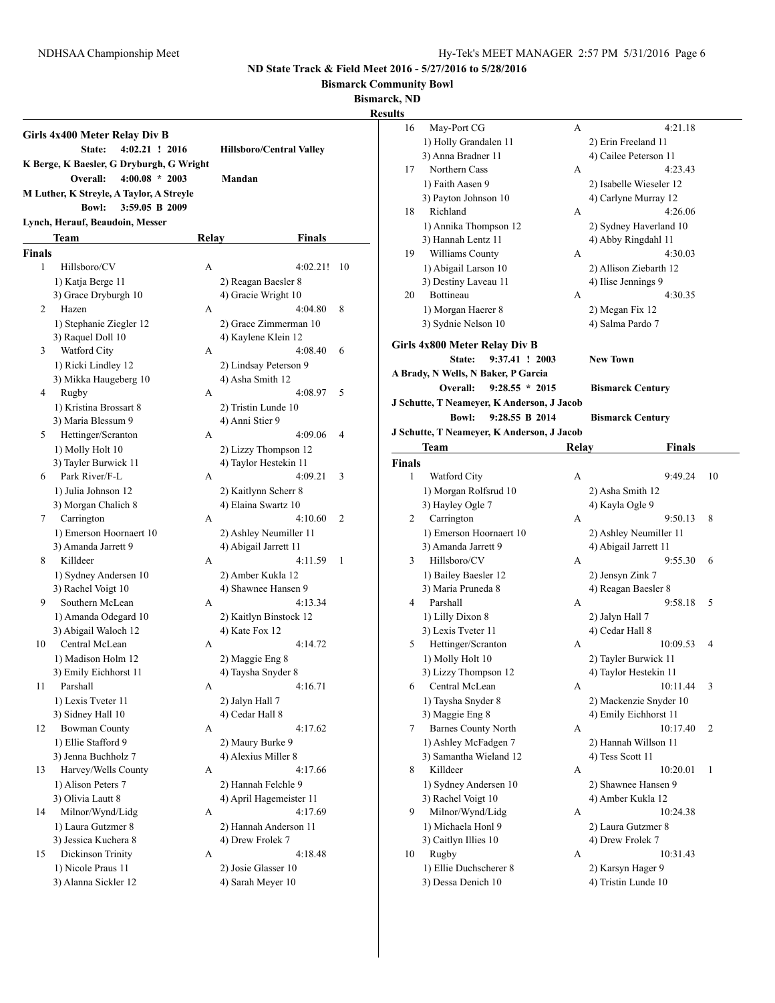**Bismarck Community Bowl**

**Bismarck, ND**

|               | Girls 4x400 Meter Relay Div B<br>$4:02.21$ ! 2016<br>State:              |       | <b>Hillsboro/Central Valley</b> |    |
|---------------|--------------------------------------------------------------------------|-------|---------------------------------|----|
|               | K Berge, K Baesler, G Dryburgh, G Wright<br>$4:00.08 * 2003$<br>Overall: |       | Mandan                          |    |
|               | M Luther, K Streyle, A Taylor, A Streyle                                 |       |                                 |    |
|               | <b>Bowl:</b><br>3:59.05 B 2009                                           |       |                                 |    |
|               | Lynch, Herauf, Beaudoin, Messer                                          |       |                                 |    |
|               | Team                                                                     | Relay | Finals                          |    |
| <b>Finals</b> |                                                                          |       |                                 |    |
| 1             | Hillsboro/CV                                                             | A     | 4:02.21!                        | 10 |
|               | 1) Katja Berge 11                                                        |       | 2) Reagan Baesler 8             |    |
|               | 3) Grace Dryburgh 10                                                     |       | 4) Gracie Wright 10             |    |
| 2             | Hazen                                                                    | A     | 4:04.80                         | 8  |
|               | 1) Stephanie Ziegler 12                                                  |       | 2) Grace Zimmerman 10           |    |
|               | 3) Raquel Doll 10                                                        |       | 4) Kaylene Klein 12             |    |
| 3             | Watford City                                                             | A     | 4:08.40                         | 6  |
|               | 1) Ricki Lindley 12                                                      |       | 2) Lindsay Peterson 9           |    |
|               | 3) Mikka Haugeberg 10                                                    |       | 4) Asha Smith 12                |    |
| 4             | Rugby                                                                    | A     | 4:08.97                         | 5  |
|               | 1) Kristina Brossart 8                                                   |       | 2) Tristin Lunde 10             |    |
|               | 3) Maria Blessum 9                                                       |       | 4) Anni Stier 9                 |    |
| 5             | Hettinger/Scranton                                                       | А     | 4:09.06                         | 4  |
|               | 1) Molly Holt 10                                                         |       | 2) Lizzy Thompson 12            |    |
|               | 3) Tayler Burwick 11                                                     |       | 4) Taylor Hestekin 11           |    |
| 6             | Park River/F-L                                                           | A     | 4:09.21                         | 3  |
|               | 1) Julia Johnson 12                                                      |       | 2) Kaitlynn Scherr 8            |    |
|               | 3) Morgan Chalich 8                                                      |       | 4) Elaina Swartz 10             |    |
| 7             | Carrington                                                               | А     | 4:10.60                         | 2  |
|               | 1) Emerson Hoornaert 10                                                  |       | 2) Ashley Neumiller 11          |    |
|               | 3) Amanda Jarrett 9                                                      |       | 4) Abigail Jarrett 11           |    |
| 8             | Killdeer                                                                 | A     | 4:11.59                         | 1  |
|               | 1) Sydney Andersen 10                                                    |       | 2) Amber Kukla 12               |    |
|               | 3) Rachel Voigt 10                                                       |       | 4) Shawnee Hansen 9             |    |
| 9             | Southern McLean                                                          | A     | 4:13.34                         |    |
|               | 1) Amanda Odegard 10                                                     |       | 2) Kaitlyn Binstock 12          |    |
|               | 3) Abigail Waloch 12                                                     |       | 4) Kate Fox 12                  |    |
| 10            | Central McLean                                                           | А     | 4:14.72                         |    |
|               | 1) Madison Holm 12                                                       |       | 2) Maggie Eng 8                 |    |
|               | 3) Emily Eichhorst 11                                                    |       | 4) Taysha Snyder 8              |    |
| 11            | Parshall                                                                 | А     | 4:16.71                         |    |
|               | 1) Lexis Tveter 11                                                       |       | 2) Jalyn Hall 7                 |    |
|               | 3) Sidney Hall 10                                                        |       | 4) Cedar Hall 8                 |    |
| 12            | <b>Bowman County</b>                                                     | А     | 4:17.62                         |    |
|               | 1) Ellie Stafford 9                                                      |       | 2) Maury Burke 9                |    |
|               | 3) Jenna Buchholz 7                                                      |       | 4) Alexius Miller 8             |    |
| 13            | Harvey/Wells County                                                      | A     | 4:17.66                         |    |
|               | 1) Alison Peters 7                                                       |       | 2) Hannah Felchle 9             |    |
|               | 3) Olivia Lautt 8                                                        |       | 4) April Hagemeister 11         |    |
| 14            | Milnor/Wynd/Lidg                                                         | A     | 4:17.69                         |    |
|               | 1) Laura Gutzmer 8                                                       |       | 2) Hannah Anderson 11           |    |
|               | 3) Jessica Kuchera 8                                                     |       | 4) Drew Frolek 7                |    |
| 15            | Dickinson Trinity                                                        | A     | 4:18.48                         |    |
|               | 1) Nicole Praus 11                                                       |       | 2) Josie Glasser 10             |    |
|               | 3) Alanna Sickler 12                                                     |       | 4) Sarah Meyer 10               |    |

| ults          |                                            |       |                                         |    |
|---------------|--------------------------------------------|-------|-----------------------------------------|----|
| 16            | May-Port CG                                | А     | 4:21.18                                 |    |
|               | 1) Holly Grandalen 11                      |       | 2) Erin Freeland 11                     |    |
|               | 3) Anna Bradner 11                         |       | 4) Cailee Peterson 11                   |    |
| 17            | Northern Cass                              | А     | 4:23.43                                 |    |
|               | 1) Faith Aasen 9                           |       | 2) Isabelle Wieseler 12                 |    |
|               | 3) Payton Johnson 10                       |       | 4) Carlyne Murray 12                    |    |
| 18            | Richland                                   | A     | 4:26.06                                 |    |
|               | 1) Annika Thompson 12                      |       | 2) Sydney Haverland 10                  |    |
|               | 3) Hannah Lentz 11                         |       | 4) Abby Ringdahl 11                     |    |
| 19            | Williams County                            | A     | 4:30.03                                 |    |
|               | 1) Abigail Larson 10                       |       | 2) Allison Ziebarth 12                  |    |
|               | 3) Destiny Laveau 11                       |       | 4) Ilise Jennings 9                     |    |
| 20            | Bottineau                                  | A     | 4:30.35                                 |    |
|               | 1) Morgan Haerer 8                         |       | 2) Megan Fix 12                         |    |
|               | 3) Sydnie Nelson 10                        |       | 4) Salma Pardo 7                        |    |
|               | Girls 4x800 Meter Relay Div B              |       |                                         |    |
|               | 9:37.41 ! 2003<br>State:                   |       | <b>New Town</b>                         |    |
|               | A Brady, N Wells, N Baker, P Garcia        |       |                                         |    |
|               | $9:28.55 * 2015$<br>Overall:               |       | <b>Bismarck Century</b>                 |    |
|               | J Schutte, T Neamever, K Anderson, J Jacob |       |                                         |    |
|               | <b>Bowl:</b><br>9:28.55 B 2014             |       | <b>Bismarck Century</b>                 |    |
|               |                                            |       |                                         |    |
|               | J Schutte, T Neameyer, K Anderson, J Jacob |       |                                         |    |
|               | Team                                       | Relay | <b>Finals</b>                           |    |
| <b>Finals</b> |                                            |       |                                         |    |
| 1             | Watford City                               | A     | 9:49.24                                 | 10 |
|               | 1) Morgan Rolfsrud 10                      |       | 2) Asha Smith 12                        |    |
|               | 3) Hayley Ogle 7                           |       | 4) Kayla Ogle 9                         |    |
| 2             | Carrington                                 | A     | 9:50.13                                 | 8  |
|               | 1) Emerson Hoornaert 10                    |       | 2) Ashley Neumiller 11                  |    |
| 3             | 3) Amanda Jarrett 9<br>Hillsboro/CV        | A     | 4) Abigail Jarrett 11<br>9:55.30        | 6  |
|               |                                            |       |                                         |    |
|               | 1) Bailey Baesler 12<br>3) Maria Pruneda 8 |       | 2) Jensyn Zink 7<br>4) Reagan Baesler 8 |    |
| 4             | Parshall                                   | А     | 9:58.18                                 | 5  |
|               | 1) Lilly Dixon 8                           |       | 2) Jalyn Hall 7                         |    |
|               | 3) Lexis Tveter 11                         |       | 4) Cedar Hall 8                         |    |
| 5             | Hettinger/Scranton                         | А     | 10:09.53                                | 4  |
|               | 1) Molly Holt 10                           |       | 2) Tayler Burwick 11                    |    |
|               | 3) Lizzy Thompson 12                       |       | 4) Taylor Hestekin 11                   |    |
| 6             | Central McLean                             | А     | 10:11.44                                | 3  |
|               | 1) Taysha Snyder 8                         |       | 2) Mackenzie Snyder 10                  |    |
|               | 3) Maggie Eng 8                            |       | 4) Emily Eichhorst 11                   |    |
| 7             | <b>Barnes County North</b>                 | А     | 10:17.40                                | 2  |
|               | 1) Ashley McFadgen 7                       |       | 2) Hannah Willson 11                    |    |
|               | 3) Samantha Wieland 12                     |       | 4) Tess Scott 11                        |    |
| 8             | Killdeer                                   | A     | 10:20.01                                | 1  |
|               | 1) Sydney Andersen 10                      |       | 2) Shawnee Hansen 9                     |    |
|               | 3) Rachel Voigt 10                         |       | 4) Amber Kukla 12                       |    |
| 9             | Milnor/Wynd/Lidg                           | A     | 10:24.38                                |    |
|               | 1) Michaela Honl 9                         |       | 2) Laura Gutzmer 8                      |    |
|               | 3) Caitlyn Illies 10                       |       | 4) Drew Frolek 7                        |    |
| 10            | Rugby                                      | А     | 10:31.43                                |    |
|               | 1) Ellie Duchscherer 8                     |       | 2) Karsyn Hager 9                       |    |
|               | 3) Dessa Denich 10                         |       | 4) Tristin Lunde 10                     |    |
|               |                                            |       |                                         |    |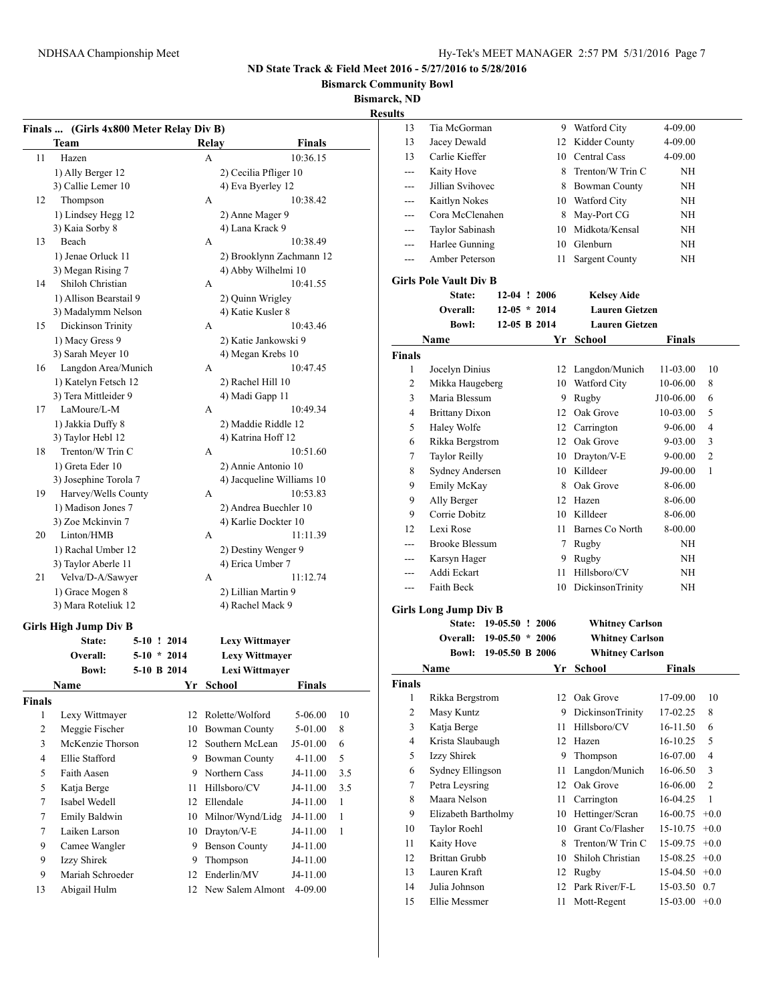**Bismarck Community Bowl**

**Bismarck, ND**

|                    | Team                   |               |    | Relay         |                           | <b>Finals</b> |              |
|--------------------|------------------------|---------------|----|---------------|---------------------------|---------------|--------------|
| 11                 | Hazen                  |               |    | A             |                           | 10:36.15      |              |
|                    | 1) Ally Berger 12      |               |    |               | 2) Cecilia Pfliger 10     |               |              |
|                    | 3) Callie Lemer 10     |               |    |               | 4) Eva Byerley 12         |               |              |
| 12                 | Thompson               |               |    | A             |                           | 10:38.42      |              |
|                    | 1) Lindsey Hegg 12     |               |    |               | 2) Anne Mager 9           |               |              |
|                    | 3) Kaia Sorby 8        |               |    |               | 4) Lana Krack 9           |               |              |
| 13                 | Beach                  |               |    | A             |                           | 10:38.49      |              |
|                    | 1) Jenae Orluck 11     |               |    |               | 2) Brooklynn Zachmann 12  |               |              |
|                    | 3) Megan Rising 7      |               |    |               | 4) Abby Wilhelmi 10       |               |              |
| 14                 | Shiloh Christian       |               |    | A             |                           | 10:41.55      |              |
|                    | 1) Allison Bearstail 9 |               |    |               | 2) Quinn Wrigley          |               |              |
|                    | 3) Madalymm Nelson     |               |    |               | 4) Katie Kusler 8         |               |              |
| 15                 | Dickinson Trinity      |               |    | A             |                           | 10:43.46      |              |
|                    | 1) Macy Gress 9        |               |    |               | 2) Katie Jankowski 9      |               |              |
|                    | 3) Sarah Meyer 10      |               |    |               | 4) Megan Krebs 10         |               |              |
| 16                 | Langdon Area/Munich    |               |    | A             |                           | 10:47.45      |              |
|                    | 1) Katelyn Fetsch 12   |               |    |               | 2) Rachel Hill 10         |               |              |
|                    | 3) Tera Mittleider 9   |               |    |               | 4) Madi Gapp 11           |               |              |
| 17                 | LaMoure/L-M            |               |    | A             |                           | 10:49.34      |              |
|                    | 1) Jakkia Duffy 8      |               |    |               | 2) Maddie Riddle 12       |               |              |
|                    | 3) Taylor Hebl 12      |               |    |               | 4) Katrina Hoff 12        |               |              |
| 18                 | Trenton/W Trin C       |               |    | A             |                           | 10:51.60      |              |
|                    | 1) Greta Eder 10       |               |    |               | 2) Annie Antonio 10       |               |              |
|                    | 3) Josephine Torola 7  |               |    |               | 4) Jacqueline Williams 10 |               |              |
| 19                 | Harvey/Wells County    |               |    | A             |                           | 10:53.83      |              |
|                    | 1) Madison Jones 7     |               |    |               | 2) Andrea Buechler 10     |               |              |
|                    | 3) Zoe Mckinvin 7      |               |    |               | 4) Karlie Dockter 10      |               |              |
| 20                 | Linton/HMB             |               |    | A             |                           | 11:11.39      |              |
|                    | 1) Rachal Umber 12     |               |    |               | 2) Destiny Wenger 9       |               |              |
|                    | 3) Taylor Aberle 11    |               |    |               | 4) Erica Umber 7          |               |              |
| 21                 | Velva/D-A/Sawyer       |               |    | A             |                           | 11:12.74      |              |
|                    | 1) Grace Mogen 8       |               |    |               | 2) Lillian Martin 9       |               |              |
|                    | 3) Mara Roteliuk 12    |               |    |               | 4) Rachel Mack 9          |               |              |
|                    |                        |               |    |               |                           |               |              |
|                    |                        |               |    |               |                           |               |              |
|                    | Girls High Jump Div B  |               |    |               |                           |               |              |
|                    | State:                 | 5-10 ! 2014   |    |               | <b>Lexy Wittmayer</b>     |               |              |
|                    | Overall:               | $5-10$ * 2014 |    |               | <b>Lexy Wittmayer</b>     |               |              |
|                    | <b>Bowl:</b>           | 5-10 B 2014   |    |               | Lexi Wittmaver            |               |              |
|                    | Name                   |               | Yr | <b>School</b> |                           | <b>Finals</b> |              |
|                    |                        |               |    |               |                           |               |              |
| 1                  | Lexy Wittmayer         |               |    |               | 12 Rolette/Wolford        | 5-06.00       | 10           |
| $\overline{c}$     | Meggie Fischer         |               | 10 |               | <b>Bowman County</b>      | 5-01.00       | 8            |
| 3                  | McKenzie Thorson       |               | 12 |               | Southern McLean           | J5-01.00      | 6            |
| 4                  | Ellie Stafford         |               | 9  |               | Bowman County             | $4 - 11.00$   | 5            |
| 5                  | Faith Aasen            |               | 9  |               | Northern Cass             | J4-11.00      | 3.5          |
| 5                  | Katja Berge            |               | 11 |               | Hillsboro/CV              | J4-11.00      | 3.5          |
| 7                  | Isabel Wedell          |               | 12 |               | Ellendale                 | J4-11.00      | $\mathbf{1}$ |
| 7                  | Emily Baldwin          |               | 10 |               | Milnor/Wynd/Lidg          | J4-11.00      | $\mathbf{1}$ |
| 7                  | Laiken Larson          |               | 10 |               | Drayton/V-E               | J4-11.00      | $\mathbf{1}$ |
| 9                  | Camee Wangler          |               | 9  |               | <b>Benson County</b>      | J4-11.00      |              |
| 9                  | Izzy Shirek            |               | 9  |               | Thompson                  | J4-11.00      |              |
| <b>Finals</b><br>9 | Mariah Schroeder       |               | 12 |               | Enderlin/MV               | J4-11.00      |              |

| uns            |                                |                   |                |                               |                      |               |
|----------------|--------------------------------|-------------------|----------------|-------------------------------|----------------------|---------------|
| 13             | Tia McGorman                   |                   |                | 9 Watford City                | 4-09.00              |               |
| 13             | Jacey Dewald                   |                   |                | 12 Kidder County              | 4-09.00              |               |
| 13             | Carlie Kieffer                 |                   |                | 10 Central Cass               | 4-09.00              |               |
| ---            | Kaity Hove                     |                   | 8              | Trenton/W Trin C              | NH                   |               |
| ---            | Jillian Svihovec               |                   |                | 8 Bowman County               | NΗ                   |               |
| ---            | Kaitlyn Nokes                  |                   |                | 10 Watford City               | NΗ                   |               |
|                | Cora McClenahen                |                   |                | 8 May-Port CG                 | ΝH                   |               |
|                | Taylor Sabinash                |                   |                | 10 Midkota/Kensal             | ΝH                   |               |
| ---            | Harlee Gunning                 |                   |                | 10 Glenburn                   | ΝH                   |               |
| ---            | Amber Peterson                 |                   | 11             | <b>Sargent County</b>         | ΝH                   |               |
|                | <b>Girls Pole Vault Div B</b>  |                   |                |                               |                      |               |
|                | <b>State:</b>                  |                   | $12-04$ ! 2006 | <b>Kelsey Aide</b>            |                      |               |
|                | Overall:                       |                   | $12-05 * 2014$ | <b>Lauren Gietzen</b>         |                      |               |
|                | <b>Bowl:</b>                   | 12-05 B 2014      |                | <b>Lauren Gietzen</b>         |                      |               |
|                |                                |                   |                |                               |                      |               |
|                | Name                           |                   | Yr             | School                        | Finals               |               |
| Finals         |                                |                   |                |                               |                      |               |
| 1              | Jocelyn Dinius                 |                   |                | 12 Langdon/Munich             | 11-03.00             | 10            |
| 2              | Mikka Haugeberg                |                   | 10             | Watford City                  | 10-06.00             | 8             |
| 3              | Maria Blessum                  |                   |                | 9 Rugby                       | J10-06.00            | 6             |
| 4              | <b>Brittany Dixon</b>          |                   |                | 12 Oak Grove                  | 10-03.00             | 5             |
| 5              | Haley Wolfe                    |                   |                | 12 Carrington                 | 9-06.00              | 4             |
| 6              | Rikka Bergstrom                |                   |                | 12 Oak Grove                  | 9-03.00              | 3             |
| 7              | <b>Taylor Reilly</b>           |                   |                | 10 Drayton/V-E                | $9 - 00.00$          | 2             |
| 8              | Sydney Andersen                |                   |                | 10 Killdeer                   | J9-00.00             | 1             |
| 9              | Emily McKay                    |                   |                | 8 Oak Grove                   | 8-06.00              |               |
| 9              | Ally Berger                    |                   |                | 12 Hazen                      | 8-06.00              |               |
| 9              | Corrie Dobitz                  |                   |                | 10 Killdeer                   | 8-06.00              |               |
| 12             | Lexi Rose                      |                   |                | 11 Barnes Co North            | 8-00.00              |               |
| ---            | <b>Brooke Blessum</b>          |                   |                | 7 Rugby                       | NH                   |               |
| ---            | Karsyn Hager                   |                   | 9              | Rugby                         | NΗ                   |               |
| ---            | Addi Eckart                    |                   | 11.            | Hillsboro/CV                  | NΗ                   |               |
| ---            | <b>Faith Beck</b>              |                   | 10             | <b>DickinsonTrinity</b>       | ΝH                   |               |
|                | <b>Girls Long Jump Div B</b>   |                   |                |                               |                      |               |
|                | State:                         | 19-05.50 ! 2006   |                | <b>Whitney Carlson</b>        |                      |               |
|                | <b>Overall:</b>                | $19-05.50 * 2006$ |                | <b>Whitney Carlson</b>        |                      |               |
|                | <b>Bowl:</b>                   | 19-05.50 B 2006   |                | <b>Whitney Carlson</b>        |                      |               |
|                | Name                           |                   | Yr             | School                        | Finals               |               |
| Finals         |                                |                   |                |                               |                      |               |
| 1              | Rikka Bergstrom                |                   |                | 12 Oak Grove                  | 17-09.00             | 10            |
| $\overline{c}$ | Masy Kuntz                     |                   | 9              | DickinsonTrinity              | 17-02.25             | 8             |
| 3              | Katja Berge                    |                   | 11             | Hillsboro/CV                  | 16-11.50             | 6             |
| 4              |                                |                   |                |                               | 16-10.25             | 5             |
| 5              |                                |                   |                |                               |                      |               |
|                | Krista Slaubaugh               |                   | 12             | Hazen                         |                      |               |
|                | Izzy Shirek                    |                   | 9              | Thompson                      | 16-07.00             | 4             |
| 6              | Sydney Ellingson               |                   | 11             | Langdon/Munich                | 16-06.50             | 3             |
| 7              | Petra Leysring                 |                   | 12             | Oak Grove                     | 16-06.00             | 2             |
| 8              | Maara Nelson                   |                   | 11             | Carrington                    | 16-04.25             | 1             |
| 9              | Elizabeth Bartholmy            |                   | 10             | Hettinger/Scran               | 16-00.75             | $+0.0$        |
| 10             | Taylor Roehl                   |                   | 10             | Grant Co/Flasher              | 15-10.75             | $+0.0$        |
| 11             | Kaity Hove                     |                   | 8              | Trenton/W Trin C              | 15-09.75             | $+0.0$        |
| 12             | <b>Brittan Grubb</b>           |                   | 10             | Shiloh Christian              | 15-08.25             | $+0.0$        |
| 13             | Lauren Kraft                   |                   | 12             | Rugby                         | 15-04.50             | $+0.0$        |
| 14<br>15       | Julia Johnson<br>Ellie Messmer |                   | 12<br>11       | Park River/F-L<br>Mott-Regent | 15-03.50<br>15-03.00 | 0.7<br>$+0.0$ |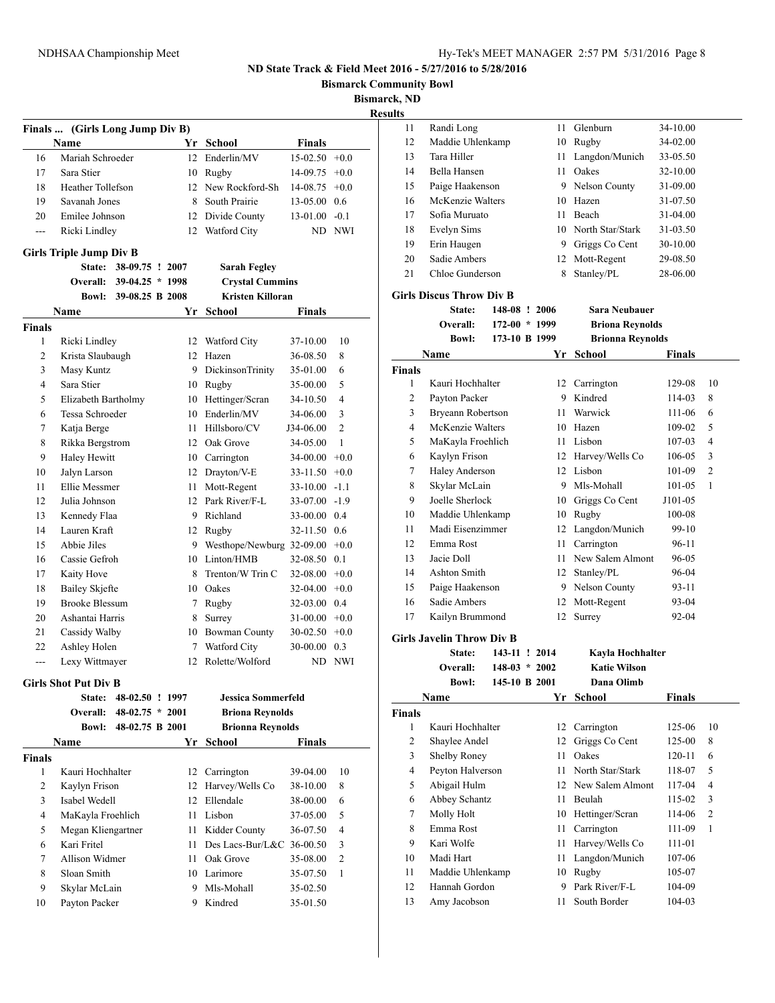**Bowl** 

**Bismarck, ND**

|                |                                                |                          |              |                                  |                  | <b>Bismarck Con</b><br>Bismar |
|----------------|------------------------------------------------|--------------------------|--------------|----------------------------------|------------------|-------------------------------|
|                |                                                |                          |              |                                  |                  |                               |
|                | Finals  (Girls Long Jump Div B)<br><b>Name</b> |                          |              | Yr School                        | <b>Finals</b>    |                               |
| 16             | Mariah Schroeder                               |                          |              | 12 Enderlin/MV                   | $15-02.50 + 0.0$ |                               |
| 17             | Sara Stier                                     |                          | 10           | Rugby                            | $14-09.75 +0.0$  |                               |
| 18             | <b>Heather Tollefson</b>                       |                          |              | 12 New Rockford-Sh               | $14-08.75 +0.0$  |                               |
| 19             | Savanah Jones                                  |                          |              | 8 South Prairie                  | $13-05.00$ 0.6   |                               |
| 20             | Emilee Johnson                                 |                          |              | 12 Divide County                 | $13-01.00 -0.1$  |                               |
| ---            | Ricki Lindley                                  |                          |              | 12 Watford City                  |                  | ND NWI                        |
|                | <b>Girls Triple Jump Div B</b>                 |                          |              |                                  |                  |                               |
|                | <b>State:</b>                                  | 38-09.75 ! 2007          |              | <b>Sarah Fegley</b>              |                  |                               |
|                |                                                | Overall: 39-04.25 * 1998 |              | <b>Crystal Cummins</b>           |                  |                               |
|                |                                                | Bowl: 39-08.25 B 2008    |              | <b>Kristen Killoran</b>          |                  |                               |
|                | Name                                           |                          |              | Yr School                        | Finals           |                               |
| <b>Finals</b>  |                                                |                          |              |                                  |                  |                               |
| 1              | Ricki Lindley                                  |                          |              | 12 Watford City                  | 37-10.00         | 10                            |
| 2              | Krista Slaubaugh                               |                          |              | 12 Hazen                         | 36-08.50         | 8                             |
| 3              | Masy Kuntz                                     |                          |              | 9 DickinsonTrinity               | 35-01.00         | 6                             |
| 4              | Sara Stier                                     |                          |              | 10 Rugby                         | 35-00.00         | 5                             |
| 5              | Elizabeth Bartholmy                            |                          |              | 10 Hettinger/Scran               | 34-10.50         | 4                             |
| 6              | Tessa Schroeder                                |                          | 10           | Enderlin/MV                      | 34-06.00         | 3                             |
| 7              | Katja Berge                                    |                          | 11           | Hillsboro/CV                     | J34-06.00        | $\overline{c}$                |
| 8              | Rikka Bergstrom                                |                          |              | 12 Oak Grove                     | 34-05.00         | 1                             |
| 9              | Haley Hewitt                                   |                          |              | 10 Carrington                    | $34-00.00 +0.0$  |                               |
| 10             | Jalyn Larson                                   |                          | 12           | Drayton/V-E                      | $33-11.50 +0.0$  |                               |
| 11             | Ellie Messmer                                  |                          | 11           | Mott-Regent                      | $33-10.00 -1.1$  |                               |
| 12             | Julia Johnson                                  |                          | $12^{\circ}$ | Park River/F-L                   | $33-07.00 -1.9$  |                               |
| 13             | Kennedy Flaa                                   |                          | 9            | Richland                         | 33-00.00 0.4     |                               |
| 14             | Lauren Kraft                                   |                          |              | 12 Rugby                         | 32-11.50 0.6     |                               |
| 15             | Abbie Jiles                                    |                          |              | 9 Westhope/Newburg 32-09.00 +0.0 |                  |                               |
| 16             | Cassie Gefroh                                  |                          |              | 10 Linton/HMB                    | 32-08.50 0.1     |                               |
| 17             | Kaity Hove                                     |                          | 8            | Trenton/W Trin C                 | $32-08.00 +0.0$  |                               |
| 18             | <b>Bailey Skjefte</b>                          |                          | 10           | Oakes                            | $32-04.00 +0.0$  |                               |
| 19             | <b>Brooke Blessum</b>                          |                          | 7            | Rugby                            | 32-03.00 0.4     |                               |
| 20             | Ashantai Harris                                |                          | 8            | Surrey                           | $31-00.00 + 0.0$ |                               |
| 21             | Cassidy Walby                                  |                          |              | 10 Bowman County                 | $30-02.50 +0.0$  |                               |
| 22             | Ashley Holen                                   |                          |              | 7 Watford City                   | 30-00.00 0.3     |                               |
| $\overline{a}$ | Lexy Wittmayer                                 |                          |              | 12 Rolette/Wolford               |                  | ND NWI                        |
|                | <b>Girls Shot Put Div B</b>                    |                          |              |                                  |                  |                               |
|                | State:                                         | 48-02.50 ! 1997          |              | Jessica Sommerfeld               |                  |                               |
|                | Overall:                                       | $48-02.75 * 2001$        |              | <b>Briona Reynolds</b>           |                  |                               |
|                | <b>Bowl:</b>                                   | 48-02.75 B 2001          |              | <b>Brionna Reynolds</b>          |                  |                               |
|                | Name                                           |                          |              | Yr School                        | Finals           |                               |
| <b>Finals</b>  |                                                |                          |              |                                  |                  |                               |
| $\mathbf{1}$   | Kauri Hochhalter                               |                          |              | 12 Carrington                    | 39-04.00         | 10                            |
| 2              | Kaylyn Frison                                  |                          | 12           | Harvey/Wells Co                  | 38-10.00         | 8                             |
| 3              | Isabel Wedell                                  |                          | 12           | Ellendale                        | 38-00.00         | 6                             |
| 4              | MaKayla Froehlich                              |                          | 11           | Lisbon                           | 37-05.00         | 5                             |
| 5              | Megan Kliengartner                             |                          | 11           | Kidder County                    | 36-07.50         | 4                             |
| 6              | Kari Fritel                                    |                          | 11           | Des Lacs-Bur/L&C 36-00.50        |                  | 3                             |
| 7              | Allison Widmer                                 |                          | 11           | Oak Grove                        | 35-08.00         | 2                             |

 Skylar McLain 9 Mls-Mohall 35-02.50 Payton Packer 9 Kindred 35-01.50

| aılts          |                                  |                 |    |                         |               |                |
|----------------|----------------------------------|-----------------|----|-------------------------|---------------|----------------|
| 11             | Randi Long                       |                 |    | 11 Glenburn             | 34-10.00      |                |
| 12             | Maddie Uhlenkamp                 |                 |    | 10 Rugby                | 34-02.00      |                |
| 13             | Tara Hiller                      |                 | 11 | Langdon/Munich          | 33-05.50      |                |
| 14             | Bella Hansen                     |                 |    | 11 Oakes                | 32-10.00      |                |
| 15             | Paige Haakenson                  |                 |    | 9 Nelson County         | 31-09.00      |                |
| 16             | McKenzie Walters                 |                 |    | 10 Hazen                | 31-07.50      |                |
| 17             | Sofia Muruato                    |                 | 11 | Beach                   | 31-04.00      |                |
| 18             | Evelyn Sims                      |                 |    | 10 North Star/Stark     | 31-03.50      |                |
| 19             | Erin Haugen                      |                 |    | 9 Griggs Co Cent        | 30-10.00      |                |
| 20             | Sadie Ambers                     |                 | 12 | Mott-Regent             | 29-08.50      |                |
| 21             | Chloe Gunderson                  |                 | 8  | Stanley/PL              | 28-06.00      |                |
|                | <b>Girls Discus Throw Div B</b>  |                 |    |                         |               |                |
|                | State:                           | 148-08 ! 2006   |    | <b>Sara Neubauer</b>    |               |                |
|                | Overall:                         | $172-00 * 1999$ |    | <b>Briona Reynolds</b>  |               |                |
|                | <b>Bowl:</b>                     | 173-10 B 1999   |    | <b>Brionna Reynolds</b> |               |                |
|                | Name                             |                 |    | Yr School               | <b>Finals</b> |                |
| <b>Finals</b>  |                                  |                 |    |                         |               |                |
| 1              | Kauri Hochhalter                 |                 |    | 12 Carrington           | 129-08        | 10             |
| 2              | Payton Packer                    |                 |    | 9 Kindred               | 114-03        | 8              |
| 3              | Bryeann Robertson                |                 | 11 | Warwick                 | 111-06        | 6              |
| 4              | McKenzie Walters                 |                 |    | 10 Hazen                | 109-02        | 5              |
| 5              | MaKayla Froehlich                |                 | 11 | Lisbon                  | 107-03        | 4              |
| 6              | Kaylyn Frison                    |                 |    | 12 Harvey/Wells Co      | 106-05        | 3              |
| 7              | Haley Anderson                   |                 |    | 12 Lisbon               | 101-09        | $\overline{2}$ |
| 8              | Skylar McLain                    |                 |    | 9 Mls-Mohall            | 101-05        | 1              |
| 9              | Joelle Sherlock                  |                 |    | 10 Griggs Co Cent       | J101-05       |                |
| 10             | Maddie Uhlenkamp                 |                 |    | 10 Rugby                | 100-08        |                |
| 11             | Madi Eisenzimmer                 |                 |    | 12 Langdon/Munich       | 99-10         |                |
| 12             | Emma Rost                        |                 | 11 | Carrington              | 96-11         |                |
| 13             | Jacie Doll                       |                 | 11 | New Salem Almont        | 96-05         |                |
| 14             | <b>Ashton Smith</b>              |                 | 12 | Stanley/PL              | 96-04         |                |
| 15             | Paige Haakenson                  |                 |    | 9 Nelson County         | 93-11         |                |
| 16             | Sadie Ambers                     |                 | 12 | Mott-Regent             | 93-04         |                |
| 17             | Kailyn Brummond                  |                 | 12 | Surrey                  | 92-04         |                |
|                | <b>Girls Javelin Throw Div B</b> |                 |    |                         |               |                |
|                | State:                           | 143-11 ! 2014   |    | Kayla Hochhalter        |               |                |
|                | Overall:                         | $148-03 * 2002$ |    | <b>Katie Wilson</b>     |               |                |
|                | <b>Bowl:</b>                     | 145-10 B 2001   |    | Dana Olimb              |               |                |
|                | Name                             |                 | Yr | School                  | Finals        |                |
| Finals         |                                  |                 |    |                         |               |                |
| $\mathbf{1}$   | Kauri Hochhalter                 |                 |    | 12 Carrington           | 125-06        | 10             |
| $\mathbf{2}$   | Shaylee Andel                    |                 | 12 | Griggs Co Cent          | 125-00        | 8              |
| 3              | Shelby Roney                     |                 | 11 | Oakes                   | 120-11        | 6              |
| $\overline{4}$ | Peyton Halverson                 |                 | 11 | North Star/Stark        | 118-07        | 5              |

 Abigail Hulm 12 New Salem Almont 117-04 4 Abbey Schantz 11 Beulah 115-02 3 Molly Holt 10 Hettinger/Scran 114-06 2 Emma Rost 11 Carrington 111-09 1 Kari Wolfe 11 Harvey/Wells Co 111-01 10 Madi Hart 11 Langdon/Munich 107-06 Maddie Uhlenkamp 10 Rugby 105-07 12 Hannah Gordon 9 Park River/F-L 104-09 Amy Jacobson 11 South Border 104-03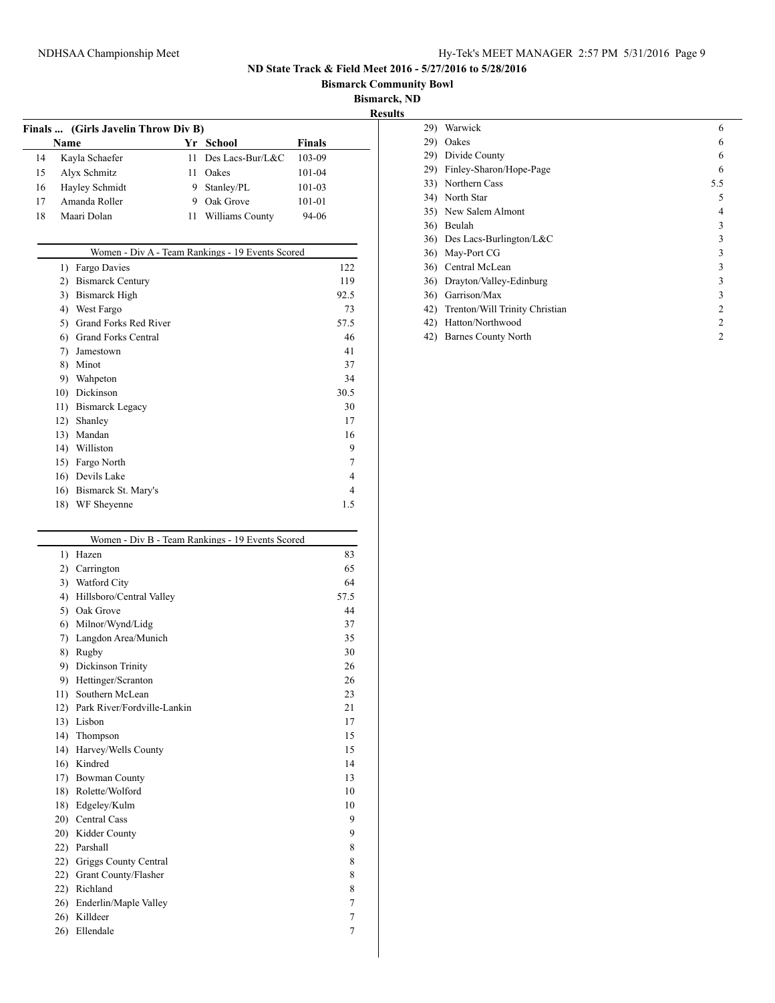**Bismarck Community Bowl**

**Bismarck, ND**

| Finals  (Girls Javelin Throw Div B) |    |                 |                            |  |  |
|-------------------------------------|----|-----------------|----------------------------|--|--|
| <b>Name</b>                         | Yr |                 | <b>Finals</b>              |  |  |
| Kayla Schaefer                      | 11 |                 | 103-09                     |  |  |
| Alyx Schmitz                        | Н  | Oakes           | 101-04                     |  |  |
| Hayley Schmidt                      | 9  | Stanley/PL      | 101-03                     |  |  |
| Amanda Roller                       | 9  | Oak Grove       | 101-01                     |  |  |
| Maari Dolan                         | 11 | Williams County | 94-06                      |  |  |
|                                     |    |                 | School<br>Des Lacs-Bur/L&C |  |  |

|     | Women - Div A - Team Rankings - 19 Events Scored |                |
|-----|--------------------------------------------------|----------------|
| 1)  | Fargo Davies                                     | 122            |
| 2)  | <b>Bismarck Century</b>                          | 119            |
| 3)  | <b>Bismarck High</b>                             | 92.5           |
| 4)  | West Fargo                                       | 73             |
| 5)  | Grand Forks Red River                            | 57.5           |
| 6)  | <b>Grand Forks Central</b>                       | 46             |
| 7)  | Jamestown                                        | 41             |
| 8)  | Minot                                            | 37             |
| 9)  | Wahpeton                                         | 34             |
| 10) | Dickinson                                        | 30.5           |
| 11) | <b>Bismarck Legacy</b>                           | 30             |
| 12) | Shanley                                          | 17             |
| 13) | Mandan                                           | 16             |
| 14) | Williston                                        | 9              |
| 15) | Fargo North                                      | 7              |
| 16) | Devils Lake                                      | $\overline{4}$ |
| 16) | Bismarck St. Mary's                              | 4              |
| 18) | WF Sheyenne                                      | 1.5            |

| $\left( \right)$ | Hazen                       | 83             |
|------------------|-----------------------------|----------------|
| 2)               | Carrington                  | 65             |
|                  | 3) Watford City             | 64             |
| 4)               | Hillsboro/Central Valley    | 57.5           |
|                  | 5) Oak Grove                | 44             |
|                  | 6) Milnor/Wynd/Lidg         | 37             |
|                  | 7) Langdon Area/Munich      | 35             |
| 8)               | Rugby                       | 30             |
|                  | 9) Dickinson Trinity        | 26             |
| 9)               | Hettinger/Scranton          | 26             |
|                  | 11) Southern McLean         | 23             |
| 12)              | Park River/Fordville-Lankin | 21             |
|                  | 13) Lisbon                  | 17             |
| 14)              | Thompson                    | 15             |
|                  | 14) Harvey/Wells County     | 15             |
| 16)              | Kindred                     | 14             |
|                  | 17) Bowman County           | 13             |
|                  | 18) Rolette/Wolford         | 10             |
|                  | 18) Edgeley/Kulm            | 10             |
|                  | 20) Central Cass            | 9              |
|                  | 20) Kidder County           | 9              |
|                  | 22) Parshall                | 8              |
|                  | 22) Griggs County Central   | 8              |
|                  | 22) Grant County/Flasher    | 8              |
| 22)              | Richland                    | 8              |
|                  | 26) Enderlin/Maple Valley   | $\overline{7}$ |
| 26)              | Killdeer                    | $\overline{7}$ |
| 26)              | Ellendale                   | $\overline{7}$ |

| 29) | Warwick                        | 6   |
|-----|--------------------------------|-----|
| 29) | Oakes                          | 6   |
| 29) | Divide County                  | 6   |
| 29) | Finley-Sharon/Hope-Page        | 6   |
| 33) | Northern Cass                  | 5.5 |
| 34) | North Star                     | 5   |
|     | 35) New Salem Almont           | 4   |
| 36) | Beulah                         | 3   |
|     | 36) Des Lacs-Burlington/L&C    | 3   |
| 36) | May-Port CG                    | 3   |
| 36) | Central McLean                 | 3   |
| 36) | Drayton/Valley-Edinburg        | 3   |
| 36) | Garrison/Max                   | 3   |
| 42) | Trenton/Will Trinity Christian | 2   |
| 42) | Hatton/Northwood               | 2   |
| 42) | <b>Barnes County North</b>     | 2   |